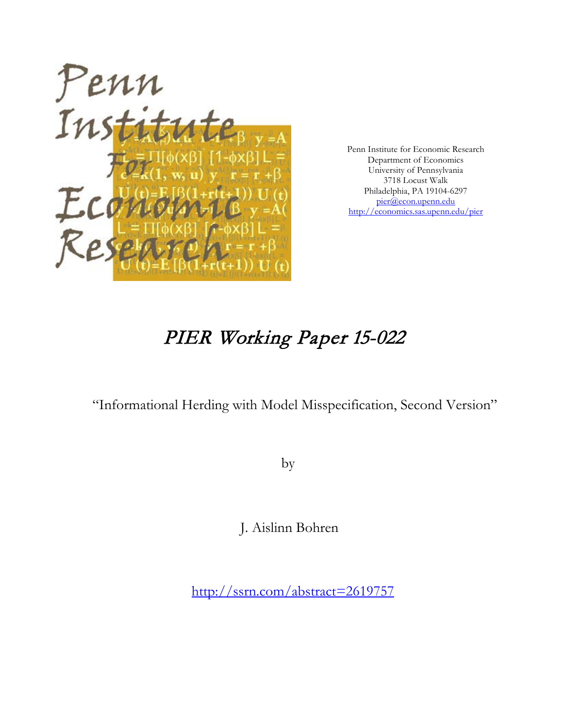

Penn Institute for Economic Research Department of Economics University of Pennsylvania 3718 Locust Walk Philadelphia, PA 19104-6297 [pier@econ.upenn.edu](mailto:pier@econ.upenn.edu) <http://economics.sas.upenn.edu/pier>

# PIER Working Paper 15-022

"Informational Herding with Model Misspecification, Second Version"

by

J. Aislinn Bohren

[http://ssrn.com/abstract=2](http://ssrn.com/abstract_id=)619757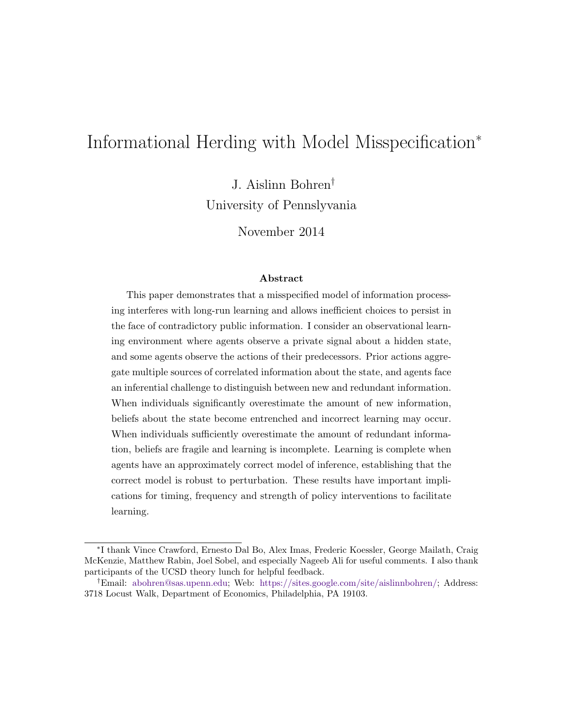## Informational Herding with Model Misspecification<sup>∗</sup>

J. Aislinn Bohren†

University of Pennslyvania

November 2014

#### Abstract

This paper demonstrates that a misspecified model of information processing interferes with long-run learning and allows inefficient choices to persist in the face of contradictory public information. I consider an observational learning environment where agents observe a private signal about a hidden state, and some agents observe the actions of their predecessors. Prior actions aggregate multiple sources of correlated information about the state, and agents face an inferential challenge to distinguish between new and redundant information. When individuals significantly overestimate the amount of new information, beliefs about the state become entrenched and incorrect learning may occur. When individuals sufficiently overestimate the amount of redundant information, beliefs are fragile and learning is incomplete. Learning is complete when agents have an approximately correct model of inference, establishing that the correct model is robust to perturbation. These results have important implications for timing, frequency and strength of policy interventions to facilitate learning.

<sup>∗</sup> I thank Vince Crawford, Ernesto Dal Bo, Alex Imas, Frederic Koessler, George Mailath, Craig McKenzie, Matthew Rabin, Joel Sobel, and especially Nageeb Ali for useful comments. I also thank participants of the UCSD theory lunch for helpful feedback.

<sup>†</sup>Email: [abohren@sas.upenn.edu;](mailto:abohren@sas.upenn.edu) Web: [https://sites.google.com/site/aislinnbohren/;](https://sites.google.com/site/aislinnbohren/) Address: 3718 Locust Walk, Department of Economics, Philadelphia, PA 19103.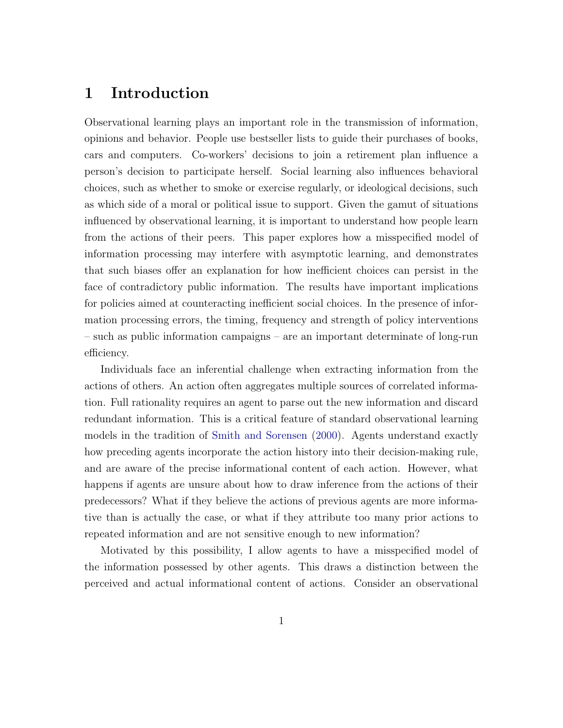## 1 Introduction

Observational learning plays an important role in the transmission of information, opinions and behavior. People use bestseller lists to guide their purchases of books, cars and computers. Co-workers' decisions to join a retirement plan influence a person's decision to participate herself. Social learning also influences behavioral choices, such as whether to smoke or exercise regularly, or ideological decisions, such as which side of a moral or political issue to support. Given the gamut of situations influenced by observational learning, it is important to understand how people learn from the actions of their peers. This paper explores how a misspecified model of information processing may interfere with asymptotic learning, and demonstrates that such biases offer an explanation for how inefficient choices can persist in the face of contradictory public information. The results have important implications for policies aimed at counteracting inefficient social choices. In the presence of information processing errors, the timing, frequency and strength of policy interventions – such as public information campaigns – are an important determinate of long-run efficiency.

Individuals face an inferential challenge when extracting information from the actions of others. An action often aggregates multiple sources of correlated information. Full rationality requires an agent to parse out the new information and discard redundant information. This is a critical feature of standard observational learning models in the tradition of [Smith and Sorensen](#page-30-0) [\(2000\)](#page-30-0). Agents understand exactly how preceding agents incorporate the action history into their decision-making rule, and are aware of the precise informational content of each action. However, what happens if agents are unsure about how to draw inference from the actions of their predecessors? What if they believe the actions of previous agents are more informative than is actually the case, or what if they attribute too many prior actions to repeated information and are not sensitive enough to new information?

Motivated by this possibility, I allow agents to have a misspecified model of the information possessed by other agents. This draws a distinction between the perceived and actual informational content of actions. Consider an observational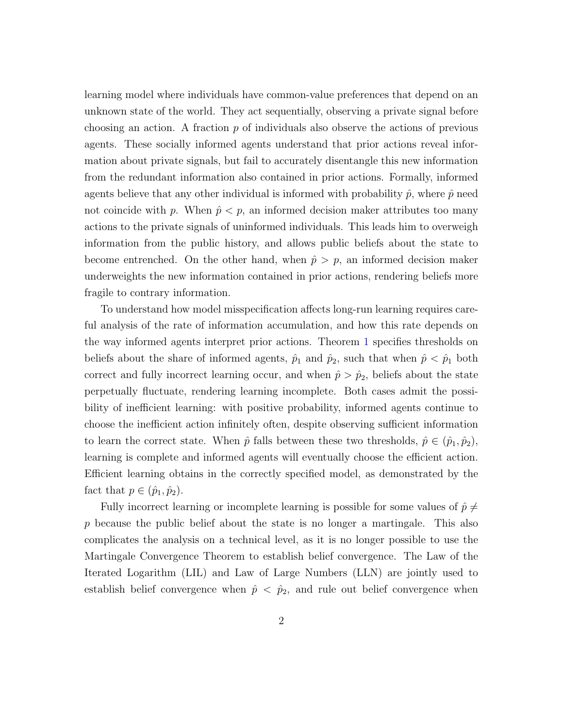learning model where individuals have common-value preferences that depend on an unknown state of the world. They act sequentially, observing a private signal before choosing an action. A fraction  $p$  of individuals also observe the actions of previous agents. These socially informed agents understand that prior actions reveal information about private signals, but fail to accurately disentangle this new information from the redundant information also contained in prior actions. Formally, informed agents believe that any other individual is informed with probability  $\hat{p}$ , where  $\hat{p}$  need not coincide with p. When  $\hat{p} < p$ , an informed decision maker attributes too many actions to the private signals of uninformed individuals. This leads him to overweigh information from the public history, and allows public beliefs about the state to become entrenched. On the other hand, when  $\hat{p} > p$ , an informed decision maker underweights the new information contained in prior actions, rendering beliefs more fragile to contrary information.

To understand how model misspecification affects long-run learning requires careful analysis of the rate of information accumulation, and how this rate depends on the way informed agents interpret prior actions. Theorem [1](#page-14-0) specifies thresholds on beliefs about the share of informed agents,  $\hat{p}_1$  and  $\hat{p}_2$ , such that when  $\hat{p} < \hat{p}_1$  both correct and fully incorrect learning occur, and when  $\hat{p} > \hat{p}_2$ , beliefs about the state perpetually fluctuate, rendering learning incomplete. Both cases admit the possibility of inefficient learning: with positive probability, informed agents continue to choose the inefficient action infinitely often, despite observing sufficient information to learn the correct state. When  $\hat{p}$  falls between these two thresholds,  $\hat{p} \in (\hat{p}_1, \hat{p}_2)$ , learning is complete and informed agents will eventually choose the efficient action. Efficient learning obtains in the correctly specified model, as demonstrated by the fact that  $p \in (\hat{p}_1, \hat{p}_2)$ .

Fully incorrect learning or incomplete learning is possible for some values of  $\hat{p} \neq$ p because the public belief about the state is no longer a martingale. This also complicates the analysis on a technical level, as it is no longer possible to use the Martingale Convergence Theorem to establish belief convergence. The Law of the Iterated Logarithm (LIL) and Law of Large Numbers (LLN) are jointly used to establish belief convergence when  $\hat{p} < \hat{p}_2$ , and rule out belief convergence when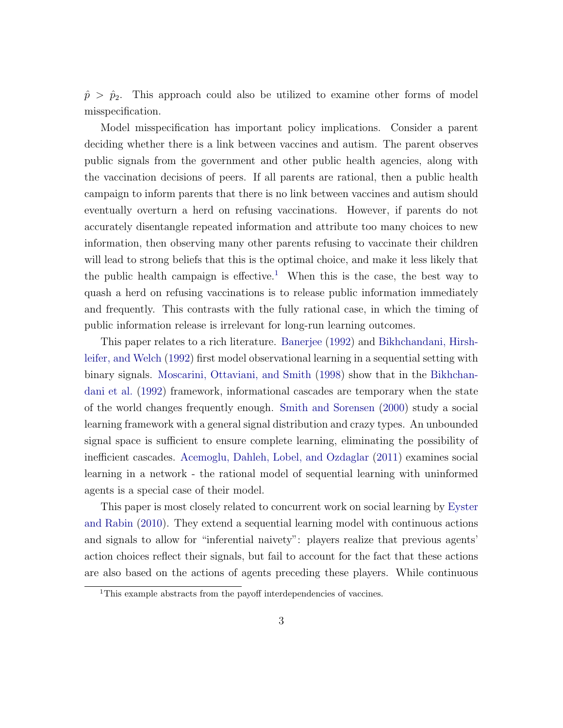$\hat{p} > \hat{p}_2$ . This approach could also be utilized to examine other forms of model misspecification.

Model misspecification has important policy implications. Consider a parent deciding whether there is a link between vaccines and autism. The parent observes public signals from the government and other public health agencies, along with the vaccination decisions of peers. If all parents are rational, then a public health campaign to inform parents that there is no link between vaccines and autism should eventually overturn a herd on refusing vaccinations. However, if parents do not accurately disentangle repeated information and attribute too many choices to new information, then observing many other parents refusing to vaccinate their children will lead to strong beliefs that this is the optimal choice, and make it less likely that the public health campaign is effective.<sup>[1](#page-4-0)</sup> When this is the case, the best way to quash a herd on refusing vaccinations is to release public information immediately and frequently. This contrasts with the fully rational case, in which the timing of public information release is irrelevant for long-run learning outcomes.

This paper relates to a rich literature. [Banerjee](#page-29-0) [\(1992\)](#page-29-0) and [Bikhchandani, Hirsh](#page-29-1)[leifer, and Welch](#page-29-1) [\(1992\)](#page-29-1) first model observational learning in a sequential setting with binary signals. [Moscarini, Ottaviani, and Smith](#page-30-1) [\(1998\)](#page-30-1) show that in the [Bikhchan](#page-29-1)[dani et al.](#page-29-1) [\(1992\)](#page-29-1) framework, informational cascades are temporary when the state of the world changes frequently enough. [Smith and Sorensen](#page-30-0) [\(2000\)](#page-30-0) study a social learning framework with a general signal distribution and crazy types. An unbounded signal space is sufficient to ensure complete learning, eliminating the possibility of inefficient cascades. [Acemoglu, Dahleh, Lobel, and Ozdaglar](#page-29-2) [\(2011\)](#page-29-2) examines social learning in a network - the rational model of sequential learning with uninformed agents is a special case of their model.

This paper is most closely related to concurrent work on social learning by [Eyster](#page-30-2) [and Rabin](#page-30-2) [\(2010\)](#page-30-2). They extend a sequential learning model with continuous actions and signals to allow for "inferential naivety": players realize that previous agents' action choices reflect their signals, but fail to account for the fact that these actions are also based on the actions of agents preceding these players. While continuous

<span id="page-4-0"></span><sup>&</sup>lt;sup>1</sup>This example abstracts from the payoff interdependencies of vaccines.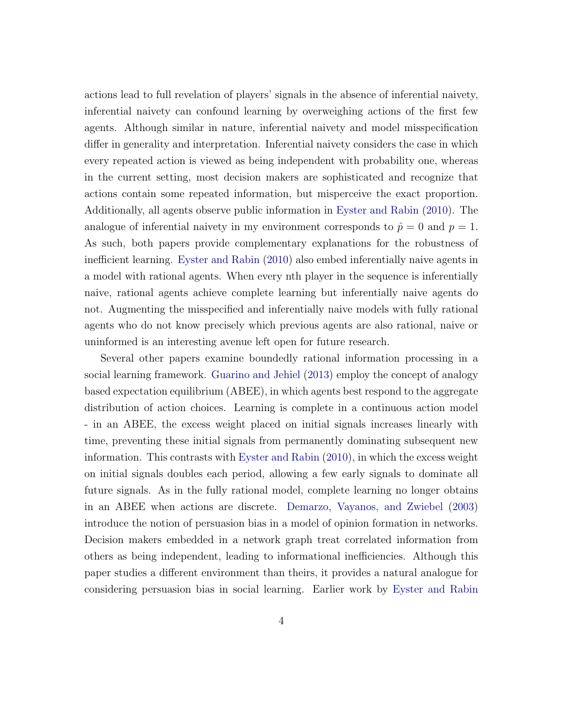actions lead to full revelation of players' signals in the absence of inferential naivety, inferential naivety can confound learning by overweighing actions of the first few agents. Although similar in nature, inferential naivety and model misspecification differ in generality and interpretation. Inferential naivety considers the case in which every repeated action is viewed as being independent with probability one, whereas in the current setting, most decision makers are sophisticated and recognize that actions contain some repeated information, but misperceive the exact proportion. Additionally, all agents observe public information in [Eyster and Rabin](#page-30-2) [\(2010\)](#page-30-2). The analogue of inferential naivety in my environment corresponds to  $\hat{p} = 0$  and  $p = 1$ . As such, both papers provide complementary explanations for the robustness of inefficient learning. [Eyster and Rabin](#page-30-2) [\(2010\)](#page-30-2) also embed inferentially naive agents in a model with rational agents. When every nth player in the sequence is inferentially naive, rational agents achieve complete learning but inferentially naive agents do not. Augmenting the misspecified and inferentially naive models with fully rational agents who do not know precisely which previous agents are also rational, naive or uninformed is an interesting avenue left open for future research.

Several other papers examine boundedly rational information processing in a social learning framework. [Guarino and Jehiel](#page-30-3) [\(2013\)](#page-30-3) employ the concept of analogy based expectation equilibrium (ABEE), in which agents best respond to the aggregate distribution of action choices. Learning is complete in a continuous action model - in an ABEE, the excess weight placed on initial signals increases linearly with time, preventing these initial signals from permanently dominating subsequent new information. This contrasts with [Eyster and Rabin](#page-30-2) [\(2010\)](#page-30-2), in which the excess weight on initial signals doubles each period, allowing a few early signals to dominate all future signals. As in the fully rational model, complete learning no longer obtains in an ABEE when actions are discrete. [Demarzo, Vayanos, and Zwiebel](#page-29-3) [\(2003\)](#page-29-3) introduce the notion of persuasion bias in a model of opinion formation in networks. Decision makers embedded in a network graph treat correlated information from others as being independent, leading to informational inefficiencies. Although this paper studies a different environment than theirs, it provides a natural analogue for considering persuasion bias in social learning. Earlier work by [Eyster and Rabin](#page-30-4)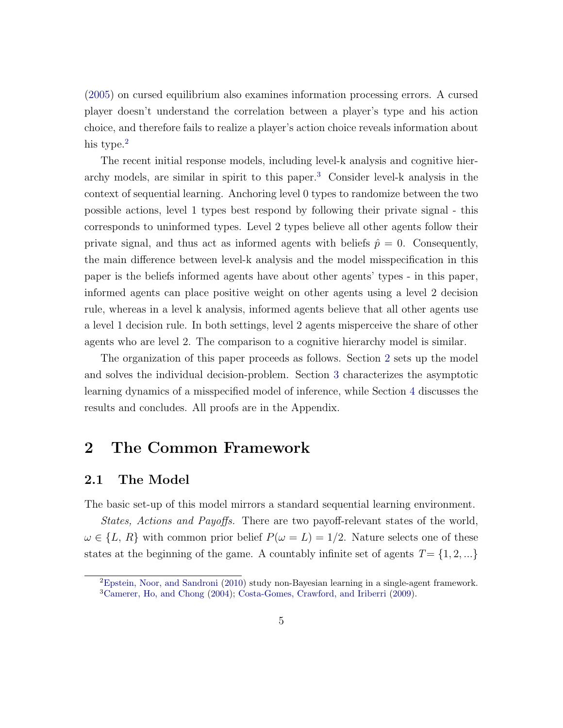[\(2005\)](#page-30-4) on cursed equilibrium also examines information processing errors. A cursed player doesn't understand the correlation between a player's type and his action choice, and therefore fails to realize a player's action choice reveals information about his type.<sup>[2](#page-6-0)</sup>

The recent initial response models, including level-k analysis and cognitive hierarchy models, are similar in spirit to this paper.[3](#page-6-1) Consider level-k analysis in the context of sequential learning. Anchoring level 0 types to randomize between the two possible actions, level 1 types best respond by following their private signal - this corresponds to uninformed types. Level 2 types believe all other agents follow their private signal, and thus act as informed agents with beliefs  $\hat{p} = 0$ . Consequently, the main difference between level-k analysis and the model misspecification in this paper is the beliefs informed agents have about other agents' types - in this paper, informed agents can place positive weight on other agents using a level 2 decision rule, whereas in a level k analysis, informed agents believe that all other agents use a level 1 decision rule. In both settings, level 2 agents misperceive the share of other agents who are level 2. The comparison to a cognitive hierarchy model is similar.

The organization of this paper proceeds as follows. Section [2](#page-6-2) sets up the model and solves the individual decision-problem. Section [3](#page-9-0) characterizes the asymptotic learning dynamics of a misspecified model of inference, while Section [4](#page-16-0) discusses the results and concludes. All proofs are in the Appendix.

## <span id="page-6-2"></span>2 The Common Framework

#### 2.1 The Model

The basic set-up of this model mirrors a standard sequential learning environment.

States, Actions and Payoffs. There are two payoff-relevant states of the world,  $\omega \in \{L, R\}$  with common prior belief  $P(\omega = L) = 1/2$ . Nature selects one of these states at the beginning of the game. A countably infinite set of agents  $T = \{1, 2, ...\}$ 

<span id="page-6-1"></span><span id="page-6-0"></span><sup>2</sup>[Epstein, Noor, and Sandroni](#page-30-5) [\(2010\)](#page-30-5) study non-Bayesian learning in a single-agent framework. <sup>3</sup>[Camerer, Ho, and Chong](#page-29-4) [\(2004\)](#page-29-4); [Costa-Gomes, Crawford, and Iriberri](#page-29-5) [\(2009\)](#page-29-5).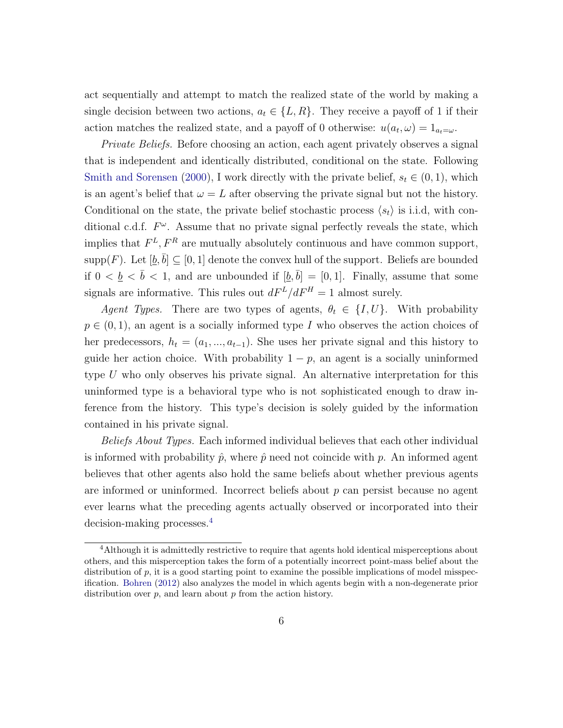act sequentially and attempt to match the realized state of the world by making a single decision between two actions,  $a_t \in \{L, R\}$ . They receive a payoff of 1 if their action matches the realized state, and a payoff of 0 otherwise:  $u(a_t, \omega) = 1_{a_t = \omega}$ .

Private Beliefs. Before choosing an action, each agent privately observes a signal that is independent and identically distributed, conditional on the state. Following [Smith and Sorensen](#page-30-0) [\(2000\)](#page-30-0), I work directly with the private belief,  $s_t \in (0, 1)$ , which is an agent's belief that  $\omega = L$  after observing the private signal but not the history. Conditional on the state, the private belief stochastic process  $\langle s_t \rangle$  is i.i.d, with conditional c.d.f.  $F^{\omega}$ . Assume that no private signal perfectly reveals the state, which implies that  $F^L, F^R$  are mutually absolutely continuous and have common support, supp $(F)$ . Let  $[\underline{b}, \overline{b}] \subseteq [0, 1]$  denote the convex hull of the support. Beliefs are bounded if  $0 < \underline{b} < \overline{b} < 1$ , and are unbounded if  $[\underline{b}, \overline{b}] = [0, 1]$ . Finally, assume that some signals are informative. This rules out  $dF^L/dF^H = 1$  almost surely.

Agent Types. There are two types of agents,  $\theta_t \in \{I, U\}$ . With probability  $p \in (0, 1)$ , an agent is a socially informed type I who observes the action choices of her predecessors,  $h_t = (a_1, ..., a_{t-1})$ . She uses her private signal and this history to guide her action choice. With probability  $1 - p$ , an agent is a socially uninformed type U who only observes his private signal. An alternative interpretation for this uninformed type is a behavioral type who is not sophisticated enough to draw inference from the history. This type's decision is solely guided by the information contained in his private signal.

Beliefs About Types. Each informed individual believes that each other individual is informed with probability  $\hat{p}$ , where  $\hat{p}$  need not coincide with p. An informed agent believes that other agents also hold the same beliefs about whether previous agents are informed or uninformed. Incorrect beliefs about  $p$  can persist because no agent ever learns what the preceding agents actually observed or incorporated into their decision-making processes.<sup>[4](#page-7-0)</sup>

<span id="page-7-0"></span><sup>4</sup>Although it is admittedly restrictive to require that agents hold identical misperceptions about others, and this misperception takes the form of a potentially incorrect point-mass belief about the distribution of  $p$ , it is a good starting point to examine the possible implications of model misspecification. [Bohren](#page-29-6) [\(2012\)](#page-29-6) also analyzes the model in which agents begin with a non-degenerate prior distribution over  $p$ , and learn about  $p$  from the action history.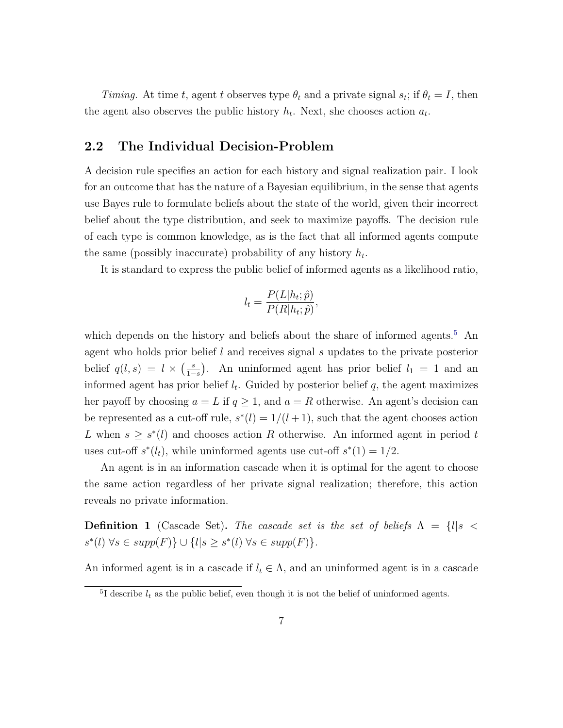Timing. At time t, agent t observes type  $\theta_t$  and a private signal  $s_t$ ; if  $\theta_t = I$ , then the agent also observes the public history  $h_t$ . Next, she chooses action  $a_t$ .

#### 2.2 The Individual Decision-Problem

A decision rule specifies an action for each history and signal realization pair. I look for an outcome that has the nature of a Bayesian equilibrium, in the sense that agents use Bayes rule to formulate beliefs about the state of the world, given their incorrect belief about the type distribution, and seek to maximize payoffs. The decision rule of each type is common knowledge, as is the fact that all informed agents compute the same (possibly inaccurate) probability of any history  $h_t$ .

It is standard to express the public belief of informed agents as a likelihood ratio,

$$
l_t = \frac{P(L|h_t; \hat{p})}{P(R|h_t; \hat{p})},
$$

which depends on the history and beliefs about the share of informed agents.<sup>[5](#page-8-0)</sup> An agent who holds prior belief  $l$  and receives signal  $s$  updates to the private posterior belief  $q(l,s) = l \times \left(\frac{s}{1-s}\right)$  $\frac{s}{1-s}$ ). An uninformed agent has prior belief  $l_1 = 1$  and an informed agent has prior belief  $l_t$ . Guided by posterior belief q, the agent maximizes her payoff by choosing  $a = L$  if  $q \ge 1$ , and  $a = R$  otherwise. An agent's decision can be represented as a cut-off rule,  $s^*(l) = 1/(l+1)$ , such that the agent chooses action L when  $s \geq s^*(l)$  and chooses action R otherwise. An informed agent in period t uses cut-off  $s^*(l_t)$ , while uninformed agents use cut-off  $s^*(1) = 1/2$ .

An agent is in an information cascade when it is optimal for the agent to choose the same action regardless of her private signal realization; therefore, this action reveals no private information.

**Definition 1** (Cascade Set). The cascade set is the set of beliefs  $\Lambda = \{l | s \leq \}$  $s^*(l) \,\forall s \in supp(F)\} \cup \{l | s \geq s^*(l) \,\forall s \in supp(F)\}.$ 

An informed agent is in a cascade if  $l_t \in \Lambda$ , and an uninformed agent is in a cascade

<span id="page-8-0"></span><sup>&</sup>lt;sup>5</sup>I describe  $l_t$  as the public belief, even though it is not the belief of uninformed agents.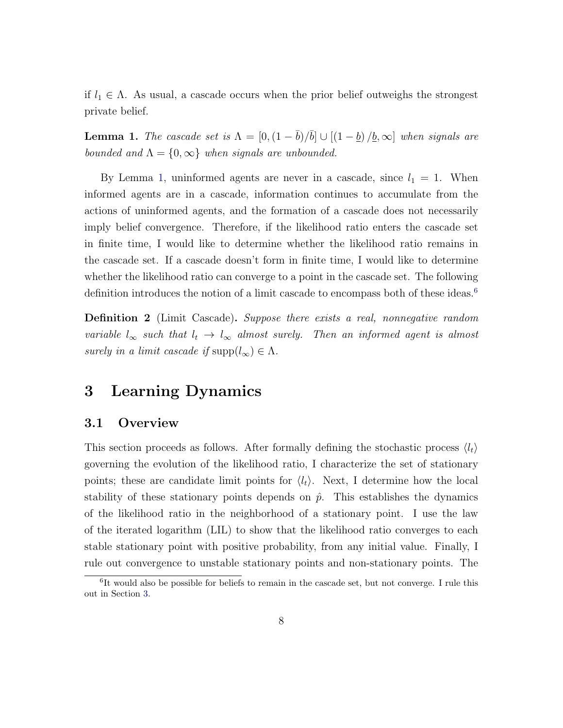if  $l_1 \in \Lambda$ . As usual, a cascade occurs when the prior belief outweighs the strongest private belief.

<span id="page-9-1"></span>**Lemma 1.** The cascade set is  $\Lambda = [0, (1 - \bar{b})/\bar{b}] \cup [(1 - \underline{b})/\underline{b}, \infty]$  when signals are bounded and  $\Lambda = \{0, \infty\}$  when signals are unbounded.

By Lemma [1,](#page-9-1) uninformed agents are never in a cascade, since  $l_1 = 1$ . When informed agents are in a cascade, information continues to accumulate from the actions of uninformed agents, and the formation of a cascade does not necessarily imply belief convergence. Therefore, if the likelihood ratio enters the cascade set in finite time, I would like to determine whether the likelihood ratio remains in the cascade set. If a cascade doesn't form in finite time, I would like to determine whether the likelihood ratio can converge to a point in the cascade set. The following definition introduces the notion of a limit cascade to encompass both of these ideas.<sup>[6](#page-9-2)</sup>

**Definition 2** (Limit Cascade). Suppose there exists a real, nonnegative random variable  $l_{\infty}$  such that  $l_t \to l_{\infty}$  almost surely. Then an informed agent is almost surely in a limit cascade if  $\text{supp}(l_{\infty}) \in \Lambda$ .

## <span id="page-9-0"></span>3 Learning Dynamics

#### 3.1 Overview

This section proceeds as follows. After formally defining the stochastic process  $\langle l_t \rangle$ governing the evolution of the likelihood ratio, I characterize the set of stationary points; these are candidate limit points for  $\langle l_t \rangle$ . Next, I determine how the local stability of these stationary points depends on  $\hat{p}$ . This establishes the dynamics of the likelihood ratio in the neighborhood of a stationary point. I use the law of the iterated logarithm (LIL) to show that the likelihood ratio converges to each stable stationary point with positive probability, from any initial value. Finally, I rule out convergence to unstable stationary points and non-stationary points. The

<span id="page-9-2"></span><sup>&</sup>lt;sup>6</sup>It would also be possible for beliefs to remain in the cascade set, but not converge. I rule this out in Section [3.](#page-9-0)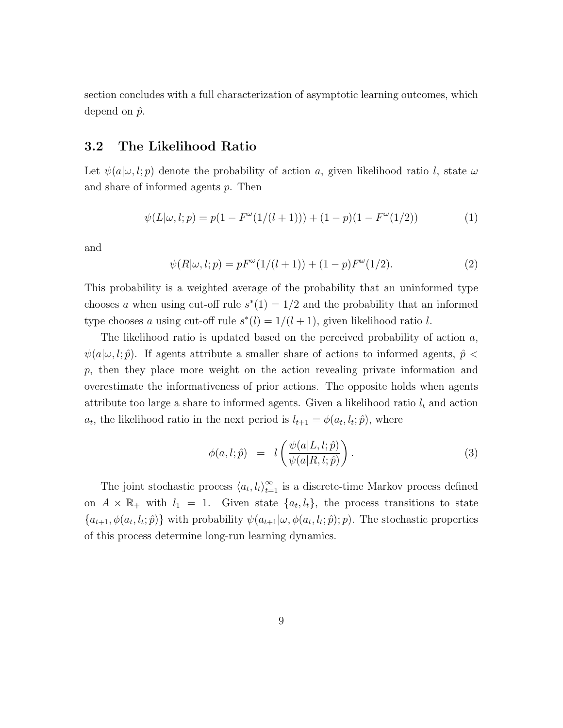section concludes with a full characterization of asymptotic learning outcomes, which depend on  $\hat{p}$ .

#### 3.2 The Likelihood Ratio

Let  $\psi(a|\omega, l; p)$  denote the probability of action a, given likelihood ratio l, state  $\omega$ and share of informed agents p. Then

<span id="page-10-0"></span>
$$
\psi(L|\omega, l; p) = p(1 - F^{\omega}(1/(l+1))) + (1 - p)(1 - F^{\omega}(1/2))
$$
\n(1)

and

$$
\psi(R|\omega, l; p) = pF^{\omega}(1/(l+1)) + (1-p)F^{\omega}(1/2).
$$
\n(2)

This probability is a weighted average of the probability that an uninformed type chooses a when using cut-off rule  $s^*(1) = 1/2$  and the probability that an informed type chooses a using cut-off rule  $s^*(l) = 1/(l + 1)$ , given likelihood ratio l.

The likelihood ratio is updated based on the perceived probability of action a,  $\psi(a|\omega, l; \hat{p})$ . If agents attribute a smaller share of actions to informed agents,  $\hat{p}$  < p, then they place more weight on the action revealing private information and overestimate the informativeness of prior actions. The opposite holds when agents attribute too large a share to informed agents. Given a likelihood ratio  $l_t$  and action  $a_t$ , the likelihood ratio in the next period is  $l_{t+1} = \phi(a_t, l_t; \hat{p})$ , where

$$
\phi(a, l; \hat{p}) = l\left(\frac{\psi(a|L, l; \hat{p})}{\psi(a|R, l; \hat{p})}\right). \tag{3}
$$

The joint stochastic process  $\langle a_t, l_t \rangle_{t=1}^{\infty}$  is a discrete-time Markov process defined on  $A \times \mathbb{R}_+$  with  $l_1 = 1$ . Given state  $\{a_t, l_t\}$ , the process transitions to state  $\{a_{t+1}, \phi(a_t, l_t; \hat{p})\}$  with probability  $\psi(a_{t+1}|\omega, \phi(a_t, l_t; \hat{p}); p)$ . The stochastic properties of this process determine long-run learning dynamics.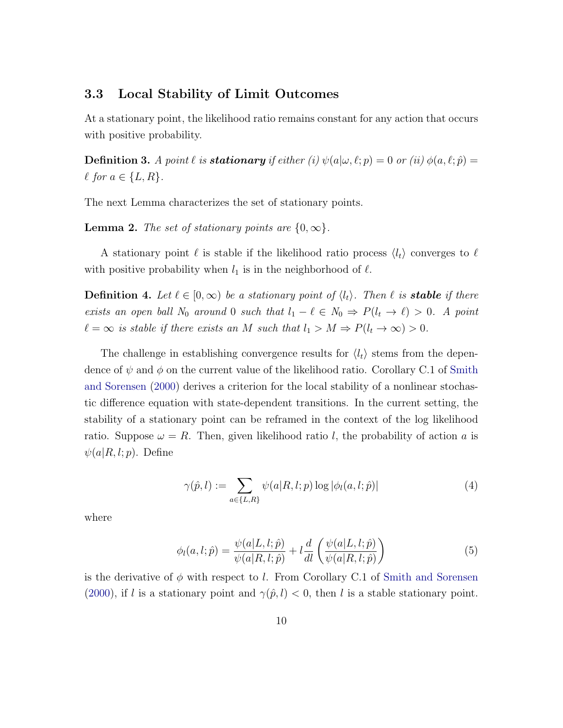#### 3.3 Local Stability of Limit Outcomes

At a stationary point, the likelihood ratio remains constant for any action that occurs with positive probability.

**Definition 3.** A point  $\ell$  is **stationary** if either (i)  $\psi(a|\omega, \ell; p) = 0$  or (ii)  $\phi(a, \ell; \hat{p}) =$  $\ell$  for  $a \in \{L, R\}.$ 

The next Lemma characterizes the set of stationary points.

<span id="page-11-0"></span>**Lemma 2.** The set of stationary points are  $\{0, \infty\}$ .

A stationary point  $\ell$  is stable if the likelihood ratio process  $\langle l_t \rangle$  converges to  $\ell$ with positive probability when  $l_1$  is in the neighborhood of  $\ell$ .

**Definition 4.** Let  $\ell \in [0,\infty)$  be a stationary point of  $\langle l_t \rangle$ . Then  $\ell$  is **stable** if there exists an open ball  $N_0$  around 0 such that  $l_1 - \ell \in N_0 \Rightarrow P(l_t \to \ell) > 0$ . A point  $\ell = \infty$  is stable if there exists an M such that  $l_1 > M \Rightarrow P(l_t \to \infty) > 0$ .

The challenge in establishing convergence results for  $\langle l_t \rangle$  stems from the dependence of  $\psi$  and  $\phi$  on the current value of the likelihood ratio. Corollary C.1 of [Smith](#page-30-0) [and Sorensen](#page-30-0) [\(2000\)](#page-30-0) derives a criterion for the local stability of a nonlinear stochastic difference equation with state-dependent transitions. In the current setting, the stability of a stationary point can be reframed in the context of the log likelihood ratio. Suppose  $\omega = R$ . Then, given likelihood ratio l, the probability of action a is  $\psi(a|R, l; p)$ . Define

<span id="page-11-1"></span>
$$
\gamma(\hat{p}, l) := \sum_{a \in \{L, R\}} \psi(a|R, l; p) \log |\phi_l(a, l; \hat{p})| \tag{4}
$$

where

$$
\phi_l(a, l; \hat{p}) = \frac{\psi(a|L, l; \hat{p})}{\psi(a|R, l; \hat{p})} + l \frac{d}{dl} \left( \frac{\psi(a|L, l; \hat{p})}{\psi(a|R, l; \hat{p})} \right)
$$
(5)

is the derivative of  $\phi$  with respect to l. From Corollary C.1 of [Smith and Sorensen](#page-30-0) [\(2000\)](#page-30-0), if l is a stationary point and  $\gamma(\hat{p}, l) < 0$ , then l is a stable stationary point.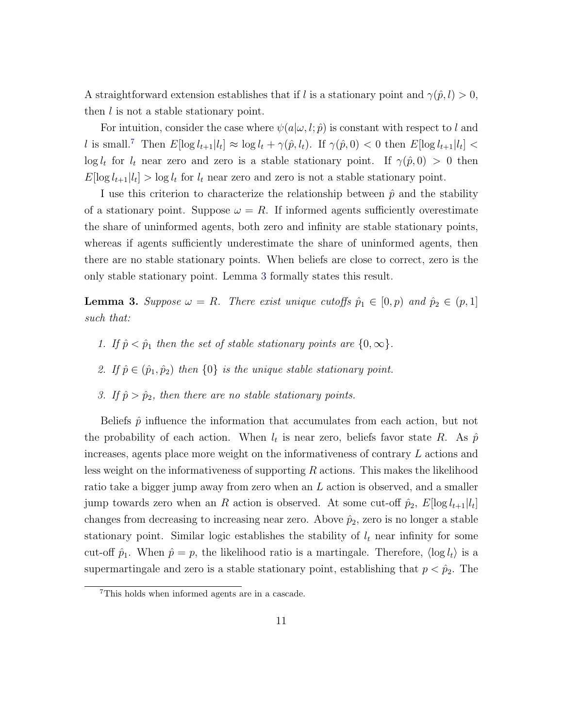A straightforward extension establishes that if l is a stationary point and  $\gamma(\hat{p}, l) > 0$ , then l is not a stable stationary point.

For intuition, consider the case where  $\psi(a|\omega, l; \hat{p})$  is constant with respect to l and l is small.<sup>[7](#page-12-0)</sup> Then  $E[\log l_{t+1}|l_t] \approx \log l_t + \gamma(\hat{p}, l_t)$ . If  $\gamma(\hat{p}, 0) < 0$  then  $E[\log l_{t+1}|l_t] <$  $\log l_t$  for  $l_t$  near zero and zero is a stable stationary point. If  $\gamma(\hat{p},0) > 0$  then  $E[\log l_{t+1}|l_t] > \log l_t$  for  $l_t$  near zero and zero is not a stable stationary point.

I use this criterion to characterize the relationship between  $\hat{p}$  and the stability of a stationary point. Suppose  $\omega = R$ . If informed agents sufficiently overestimate the share of uninformed agents, both zero and infinity are stable stationary points, whereas if agents sufficiently underestimate the share of uninformed agents, then there are no stable stationary points. When beliefs are close to correct, zero is the only stable stationary point. Lemma [3](#page-12-1) formally states this result.

<span id="page-12-1"></span>**Lemma 3.** Suppose  $\omega = R$ . There exist unique cutoffs  $\hat{p}_1 \in [0, p)$  and  $\hat{p}_2 \in (p, 1]$ such that:

- 1. If  $\hat{p} < \hat{p}_1$  then the set of stable stationary points are  $\{0, \infty\}.$
- 2. If  $\hat{p} \in (\hat{p}_1, \hat{p}_2)$  then  $\{0\}$  is the unique stable stationary point.
- 3. If  $\hat{p} > \hat{p}_2$ , then there are no stable stationary points.

Beliefs  $\hat{p}$  influence the information that accumulates from each action, but not the probability of each action. When  $l_t$  is near zero, beliefs favor state R. As  $\hat{p}$ increases, agents place more weight on the informativeness of contrary L actions and less weight on the informativeness of supporting  $R$  actions. This makes the likelihood ratio take a bigger jump away from zero when an L action is observed, and a smaller jump towards zero when an R action is observed. At some cut-off  $\hat{p}_2$ ,  $E[\log l_{t+1}|l_t]$ changes from decreasing to increasing near zero. Above  $\hat{p}_2$ , zero is no longer a stable stationary point. Similar logic establishes the stability of  $l_t$  near infinity for some cut-off  $\hat{p}_1$ . When  $\hat{p} = p$ , the likelihood ratio is a martingale. Therefore,  $\langle \log l_t \rangle$  is a supermartingale and zero is a stable stationary point, establishing that  $p < \hat{p}_2$ . The

<span id="page-12-0"></span><sup>7</sup>This holds when informed agents are in a cascade.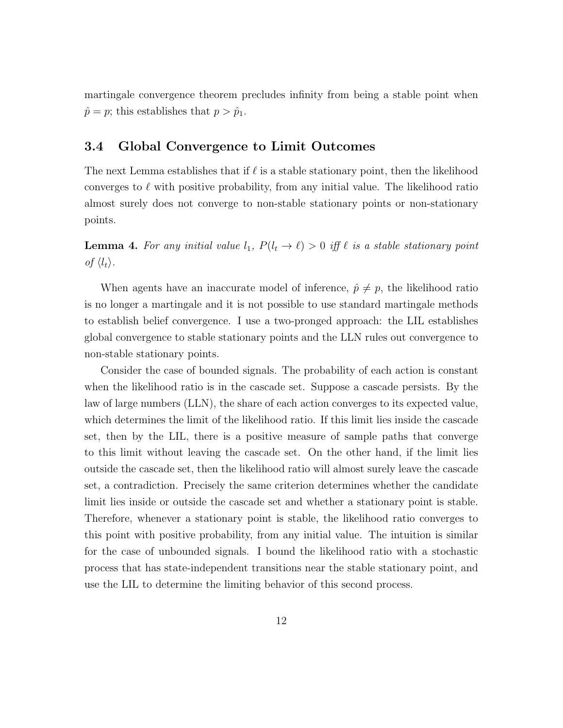martingale convergence theorem precludes infinity from being a stable point when  $\hat{p} = p$ ; this establishes that  $p > \hat{p}_1$ .

#### 3.4 Global Convergence to Limit Outcomes

The next Lemma establishes that if  $\ell$  is a stable stationary point, then the likelihood converges to  $\ell$  with positive probability, from any initial value. The likelihood ratio almost surely does not converge to non-stable stationary points or non-stationary points.

<span id="page-13-0"></span>**Lemma 4.** For any initial value  $l_1$ ,  $P(l_t \rightarrow \ell) > 0$  iff  $\ell$  is a stable stationary point of  $\langle l_t \rangle$ .

When agents have an inaccurate model of inference,  $\hat{p} \neq p$ , the likelihood ratio is no longer a martingale and it is not possible to use standard martingale methods to establish belief convergence. I use a two-pronged approach: the LIL establishes global convergence to stable stationary points and the LLN rules out convergence to non-stable stationary points.

Consider the case of bounded signals. The probability of each action is constant when the likelihood ratio is in the cascade set. Suppose a cascade persists. By the law of large numbers (LLN), the share of each action converges to its expected value, which determines the limit of the likelihood ratio. If this limit lies inside the cascade set, then by the LIL, there is a positive measure of sample paths that converge to this limit without leaving the cascade set. On the other hand, if the limit lies outside the cascade set, then the likelihood ratio will almost surely leave the cascade set, a contradiction. Precisely the same criterion determines whether the candidate limit lies inside or outside the cascade set and whether a stationary point is stable. Therefore, whenever a stationary point is stable, the likelihood ratio converges to this point with positive probability, from any initial value. The intuition is similar for the case of unbounded signals. I bound the likelihood ratio with a stochastic process that has state-independent transitions near the stable stationary point, and use the LIL to determine the limiting behavior of this second process.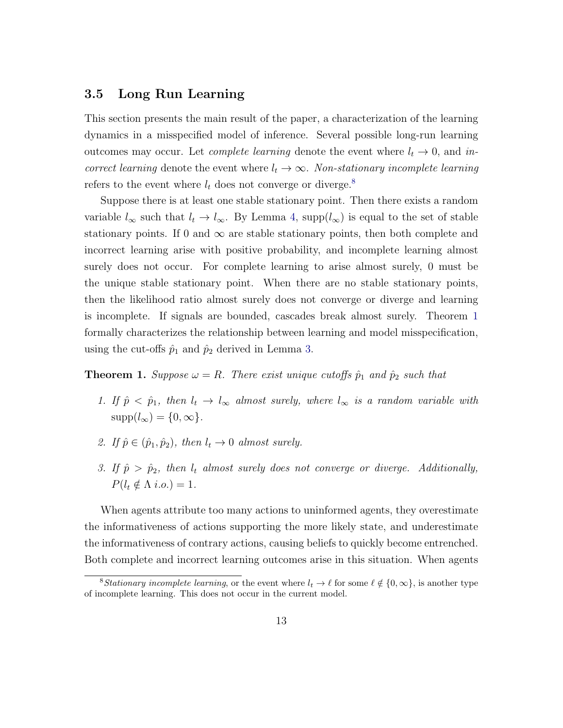#### 3.5 Long Run Learning

This section presents the main result of the paper, a characterization of the learning dynamics in a misspecified model of inference. Several possible long-run learning outcomes may occur. Let *complete learning* denote the event where  $l_t \rightarrow 0$ , and incorrect learning denote the event where  $l_t \to \infty$ . Non-stationary incomplete learning refers to the event where  $l_t$  does not converge or diverge.<sup>[8](#page-14-1)</sup>

Suppose there is at least one stable stationary point. Then there exists a random variable  $l_{\infty}$  such that  $l_t \to l_{\infty}$ . By Lemma [4,](#page-13-0) supp $(l_{\infty})$  is equal to the set of stable stationary points. If 0 and  $\infty$  are stable stationary points, then both complete and incorrect learning arise with positive probability, and incomplete learning almost surely does not occur. For complete learning to arise almost surely, 0 must be the unique stable stationary point. When there are no stable stationary points, then the likelihood ratio almost surely does not converge or diverge and learning is incomplete. If signals are bounded, cascades break almost surely. Theorem [1](#page-14-0) formally characterizes the relationship between learning and model misspecification, using the cut-offs  $\hat{p}_1$  and  $\hat{p}_2$  derived in Lemma [3.](#page-12-1)

#### <span id="page-14-0"></span>**Theorem 1.** Suppose  $\omega = R$ . There exist unique cutoffs  $\hat{p}_1$  and  $\hat{p}_2$  such that

- 1. If  $\hat{p} < \hat{p}_1$ , then  $l_t \to l_\infty$  almost surely, where  $l_\infty$  is a random variable with  $supp(l_{\infty}) = \{0, \infty\}.$
- 2. If  $\hat{p} \in (\hat{p}_1, \hat{p}_2)$ , then  $l_t \to 0$  almost surely.
- 3. If  $\hat{p} > \hat{p}_2$ , then  $l_t$  almost surely does not converge or diverge. Additionally,  $P(l_t \notin \Lambda \text{ i.o.}) = 1.$

When agents attribute too many actions to uninformed agents, they overestimate the informativeness of actions supporting the more likely state, and underestimate the informativeness of contrary actions, causing beliefs to quickly become entrenched. Both complete and incorrect learning outcomes arise in this situation. When agents

<span id="page-14-1"></span><sup>&</sup>lt;sup>8</sup>Stationary incomplete learning, or the event where  $l_t \to \ell$  for some  $\ell \notin \{0, \infty\}$ , is another type of incomplete learning. This does not occur in the current model.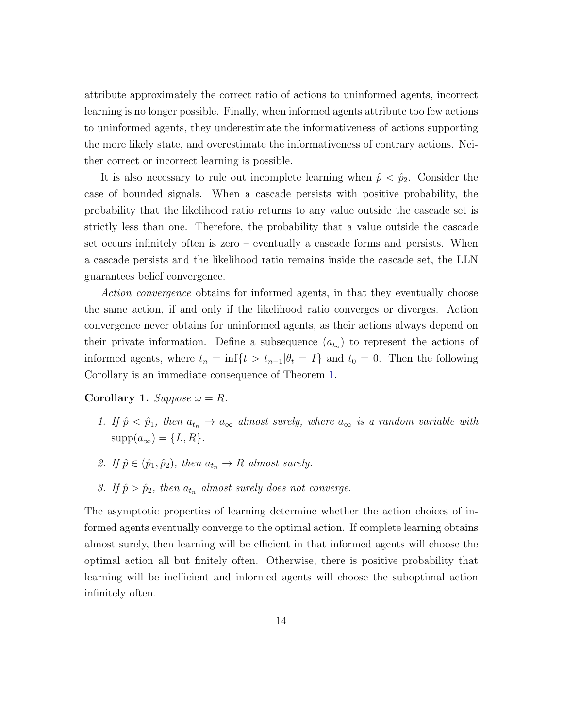attribute approximately the correct ratio of actions to uninformed agents, incorrect learning is no longer possible. Finally, when informed agents attribute too few actions to uninformed agents, they underestimate the informativeness of actions supporting the more likely state, and overestimate the informativeness of contrary actions. Neither correct or incorrect learning is possible.

It is also necessary to rule out incomplete learning when  $\hat{p} < \hat{p}_2$ . Consider the case of bounded signals. When a cascade persists with positive probability, the probability that the likelihood ratio returns to any value outside the cascade set is strictly less than one. Therefore, the probability that a value outside the cascade set occurs infinitely often is zero – eventually a cascade forms and persists. When a cascade persists and the likelihood ratio remains inside the cascade set, the LLN guarantees belief convergence.

Action convergence obtains for informed agents, in that they eventually choose the same action, if and only if the likelihood ratio converges or diverges. Action convergence never obtains for uninformed agents, as their actions always depend on their private information. Define a subsequence  $(a_{t_n})$  to represent the actions of informed agents, where  $t_n = \inf\{t > t_{n-1} | \theta_t = I\}$  and  $t_0 = 0$ . Then the following Corollary is an immediate consequence of Theorem [1.](#page-14-0)

Corollary 1. Suppose  $\omega = R$ .

- 1. If  $\hat{p} < \hat{p}_1$ , then  $a_{t_n} \to a_{\infty}$  almost surely, where  $a_{\infty}$  is a random variable with  $supp(a_{\infty}) = \{L, R\}.$
- 2. If  $\hat{p} \in (\hat{p}_1, \hat{p}_2)$ , then  $a_{t_n} \to R$  almost surely.
- 3. If  $\hat{p} > \hat{p}_2$ , then  $a_{t_n}$  almost surely does not converge.

The asymptotic properties of learning determine whether the action choices of informed agents eventually converge to the optimal action. If complete learning obtains almost surely, then learning will be efficient in that informed agents will choose the optimal action all but finitely often. Otherwise, there is positive probability that learning will be inefficient and informed agents will choose the suboptimal action infinitely often.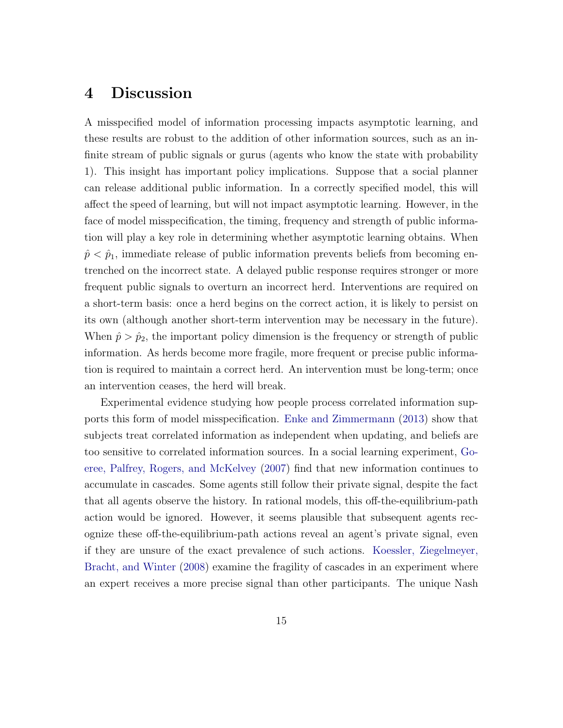## <span id="page-16-0"></span>4 Discussion

A misspecified model of information processing impacts asymptotic learning, and these results are robust to the addition of other information sources, such as an infinite stream of public signals or gurus (agents who know the state with probability 1). This insight has important policy implications. Suppose that a social planner can release additional public information. In a correctly specified model, this will affect the speed of learning, but will not impact asymptotic learning. However, in the face of model misspecification, the timing, frequency and strength of public information will play a key role in determining whether asymptotic learning obtains. When  $\hat{p} < \hat{p}_1$ , immediate release of public information prevents beliefs from becoming entrenched on the incorrect state. A delayed public response requires stronger or more frequent public signals to overturn an incorrect herd. Interventions are required on a short-term basis: once a herd begins on the correct action, it is likely to persist on its own (although another short-term intervention may be necessary in the future). When  $\hat{p} > \hat{p}_2$ , the important policy dimension is the frequency or strength of public information. As herds become more fragile, more frequent or precise public information is required to maintain a correct herd. An intervention must be long-term; once an intervention ceases, the herd will break.

Experimental evidence studying how people process correlated information supports this form of model misspecification. [Enke and Zimmermann](#page-30-6) [\(2013\)](#page-30-6) show that subjects treat correlated information as independent when updating, and beliefs are too sensitive to correlated information sources. In a social learning experiment, [Go](#page-30-7)[eree, Palfrey, Rogers, and McKelvey](#page-30-7) [\(2007\)](#page-30-7) find that new information continues to accumulate in cascades. Some agents still follow their private signal, despite the fact that all agents observe the history. In rational models, this off-the-equilibrium-path action would be ignored. However, it seems plausible that subsequent agents recognize these off-the-equilibrium-path actions reveal an agent's private signal, even if they are unsure of the exact prevalence of such actions. [Koessler, Ziegelmeyer,](#page-30-8) [Bracht, and Winter](#page-30-8) [\(2008\)](#page-30-8) examine the fragility of cascades in an experiment where an expert receives a more precise signal than other participants. The unique Nash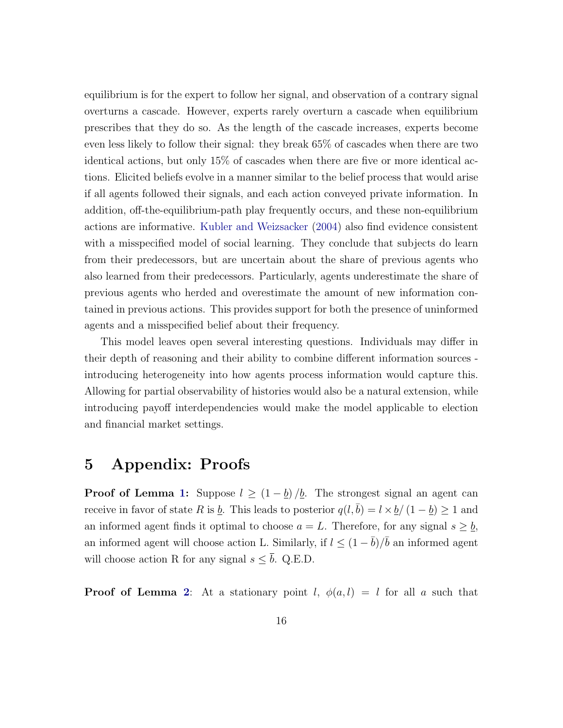equilibrium is for the expert to follow her signal, and observation of a contrary signal overturns a cascade. However, experts rarely overturn a cascade when equilibrium prescribes that they do so. As the length of the cascade increases, experts become even less likely to follow their signal: they break 65% of cascades when there are two identical actions, but only 15% of cascades when there are five or more identical actions. Elicited beliefs evolve in a manner similar to the belief process that would arise if all agents followed their signals, and each action conveyed private information. In addition, off-the-equilibrium-path play frequently occurs, and these non-equilibrium actions are informative. [Kubler and Weizsacker](#page-30-9) [\(2004\)](#page-30-9) also find evidence consistent with a misspecified model of social learning. They conclude that subjects do learn from their predecessors, but are uncertain about the share of previous agents who also learned from their predecessors. Particularly, agents underestimate the share of previous agents who herded and overestimate the amount of new information contained in previous actions. This provides support for both the presence of uninformed agents and a misspecified belief about their frequency.

This model leaves open several interesting questions. Individuals may differ in their depth of reasoning and their ability to combine different information sources introducing heterogeneity into how agents process information would capture this. Allowing for partial observability of histories would also be a natural extension, while introducing payoff interdependencies would make the model applicable to election and financial market settings.

### 5 Appendix: Proofs

**Proof of Lemma [1:](#page-9-1)** Suppose  $l \geq (1 - \underline{b})/\underline{b}$ . The strongest signal an agent can receive in favor of state R is  $\underline{b}$ . This leads to posterior  $q(l, \overline{b}) = l \times \underline{b}/(1 - \underline{b}) \geq 1$  and an informed agent finds it optimal to choose  $a = L$ . Therefore, for any signal  $s \geq b$ , an informed agent will choose action L. Similarly, if  $l \leq (1 - \bar{b})/\bar{b}$  an informed agent will choose action R for any signal  $s \leq \bar{b}$ . Q.E.D.

**Proof of Lemma [2](#page-11-0):** At a stationary point l,  $\phi(a, l) = l$  for all a such that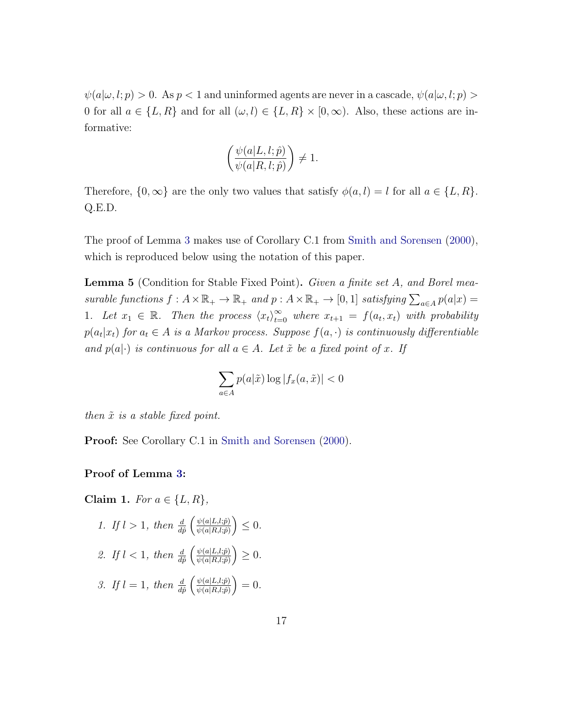$\psi(a|\omega, l; p) > 0$ . As  $p < 1$  and uninformed agents are never in a cascade,  $\psi(a|\omega, l; p) > 0$ 0 for all  $a \in \{L, R\}$  and for all  $(\omega, l) \in \{L, R\} \times [0, \infty)$ . Also, these actions are informative:

$$
\left(\frac{\psi(a|L,l;\hat{p})}{\psi(a|R,l;\hat{p})}\right) \neq 1.
$$

Therefore,  $\{0,\infty\}$  are the only two values that satisfy  $\phi(a,l) = l$  for all  $a \in \{L,R\}$ . Q.E.D.

The proof of Lemma [3](#page-12-1) makes use of Corollary C.1 from [Smith and Sorensen](#page-30-0) [\(2000\)](#page-30-0), which is reproduced below using the notation of this paper.

<span id="page-18-0"></span>**Lemma 5** (Condition for Stable Fixed Point). Given a finite set A, and Borel measurable functions  $f: A \times \mathbb{R}_+ \to \mathbb{R}_+$  and  $p: A \times \mathbb{R}_+ \to [0, 1]$  satisfying  $\sum_{a \in A} p(a|x) =$ 1. Let  $x_1 \in \mathbb{R}$ . Then the process  $\langle x_t \rangle_{t=0}^{\infty}$  where  $x_{t+1} = f(a_t, x_t)$  with probability  $p(a_t|x_t)$  for  $a_t \in A$  is a Markov process. Suppose  $f(a, \cdot)$  is continuously differentiable and  $p(a|\cdot)$  is continuous for all  $a \in A$ . Let  $\tilde{x}$  be a fixed point of x. If

$$
\sum_{a \in A} p(a|\tilde{x}) \log |f_x(a, \tilde{x})| < 0
$$

then  $\tilde{x}$  is a stable fixed point.

Proof: See Corollary C.1 in [Smith and Sorensen](#page-30-0) [\(2000\)](#page-30-0).

#### Proof of Lemma [3:](#page-12-1)

<span id="page-18-1"></span>Claim 1. For  $a \in \{L, R\}$ , 1. If  $l > 1$ , then  $\frac{d}{d\hat{p}} \left( \frac{\psi(a|L,l;\hat{p})}{\psi(a|R,l;\hat{p})} \right)$  $\frac{\psi(a|L,l;\hat{p})}{\psi(a|R,l;\hat{p})}\Big)\leq 0.$ 2. If  $l < 1$ , then  $\frac{d}{d\hat{p}} \left( \frac{\psi(a|L,l;\hat{p})}{\psi(a|R,l;\hat{p})} \right)$  $\frac{\psi(a|L,l;\hat{p})}{\psi(a|R,l;\hat{p})}\Big)\geq 0.$ 3. If  $l = 1$ , then  $\frac{d}{d\hat{p}} \left( \frac{\psi(a|L,l;\hat{p})}{\psi(a|R,l;\hat{p})} \right)$  $\frac{\psi(a|L,l;\hat{p})}{\psi(a|R,l;\hat{p})}\Big) = 0.$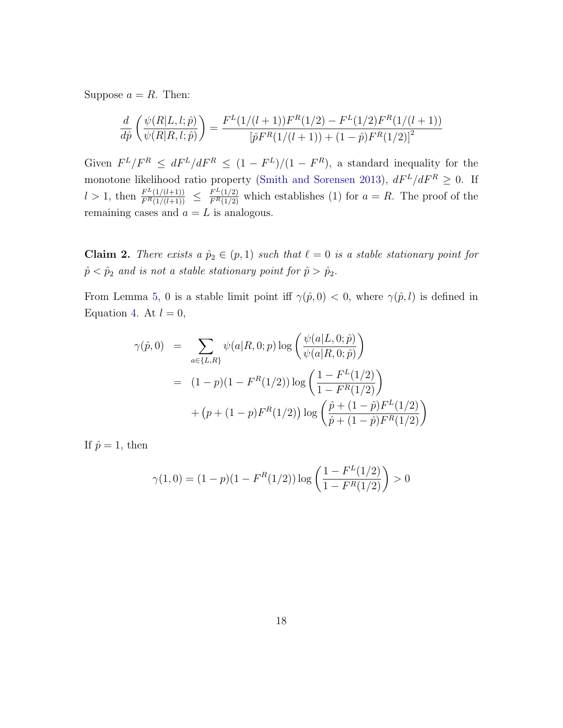Suppose  $a = R$ . Then:

$$
\frac{d}{d\hat{p}}\left(\frac{\psi(R|L,l;\hat{p})}{\psi(R|R,l;\hat{p})}\right) = \frac{F^L(1/(l+1))F^R(1/2) - F^L(1/2)F^R(1/(l+1))}{\left[\hat{p}F^R(1/(l+1)) + (1-\hat{p})F^R(1/2)\right]^2}
$$

Given  $F^L/F^R \leq dF^L/dF^R \leq (1 - F^L)/(1 - F^R)$ , a standard inequality for the monotone likelihood ratio property [\(Smith and Sorensen](#page-31-0) [2013\)](#page-31-0),  $dF^L/dF^R \geq 0$ . If  $l > 1$ , then  $\frac{F^L(1/(l+1))}{F^R(1/(l+1))} \leq \frac{F^L(1/2)}{F^R(1/2)}$  which establishes (1) for  $a = R$ . The proof of the remaining cases and  $a = L$  is analogous.

Claim 2. There exists a  $\hat{p}_2 \in (p, 1)$  such that  $\ell = 0$  is a stable stationary point for  $\hat{p} < \hat{p}_2$  and is not a stable stationary point for  $\hat{p} > \hat{p}_2$ .

From Lemma [5,](#page-18-0) 0 is a stable limit point iff  $\gamma(\hat{p}, 0) < 0$ , where  $\gamma(\hat{p}, l)$  is defined in Equation [4.](#page-11-1) At  $l = 0$ ,

$$
\gamma(\hat{p}, 0) = \sum_{a \in \{L, R\}} \psi(a | R, 0; p) \log \left( \frac{\psi(a | L, 0; \hat{p})}{\psi(a | R, 0; \hat{p})} \right)
$$
  
= 
$$
(1 - p)(1 - F^{R}(1/2)) \log \left( \frac{1 - F^{L}(1/2)}{1 - F^{R}(1/2)} \right)
$$
  
+ 
$$
(p + (1 - p)F^{R}(1/2)) \log \left( \frac{\hat{p} + (1 - \hat{p})F^{L}(1/2)}{\hat{p} + (1 - \hat{p})F^{R}(1/2)} \right)
$$

If  $\hat{p} = 1$ , then

$$
\gamma(1,0) = (1-p)(1 - F^R(1/2)) \log \left( \frac{1 - F^L(1/2)}{1 - F^R(1/2)} \right) > 0
$$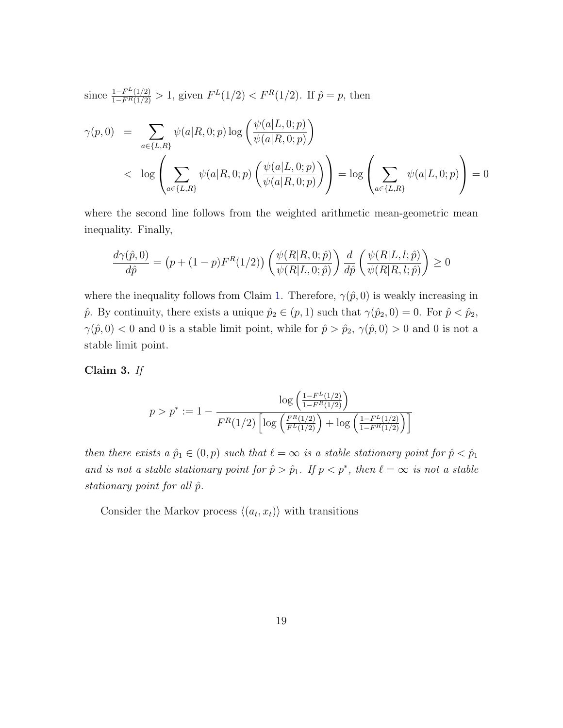since 
$$
\frac{1 - F^L(1/2)}{1 - F^R(1/2)} > 1
$$
, given  $F^L(1/2) < F^R(1/2)$ . If  $\hat{p} = p$ , then

$$
\gamma(p,0) = \sum_{a \in \{L,R\}} \psi(a|R,0;p) \log \left( \frac{\psi(a|L,0;p)}{\psi(a|R,0;p)} \right)
$$
  
< 
$$
\log \left( \sum_{a \in \{L,R\}} \psi(a|R,0;p) \left( \frac{\psi(a|L,0;p)}{\psi(a|R,0;p)} \right) \right) = \log \left( \sum_{a \in \{L,R\}} \psi(a|L,0;p) \right) = 0
$$

where the second line follows from the weighted arithmetic mean-geometric mean inequality. Finally,

$$
\frac{d\gamma(\hat{p},0)}{d\hat{p}} = (p + (1-p)F^R(1/2)) \left( \frac{\psi(R|R,0;\hat{p})}{\psi(R|L,0;\hat{p})} \right) \frac{d}{d\hat{p}} \left( \frac{\psi(R|L,l;\hat{p})}{\psi(R|R,l;\hat{p})} \right) \ge 0
$$

where the inequality follows from Claim [1.](#page-18-1) Therefore,  $\gamma(\hat{p}, 0)$  is weakly increasing in  $\hat{p}$ . By continuity, there exists a unique  $\hat{p}_2 \in (p, 1)$  such that  $\gamma(\hat{p}_2, 0) = 0$ . For  $\hat{p} < \hat{p}_2$ ,  $\gamma(\hat{p}, 0) < 0$  and 0 is a stable limit point, while for  $\hat{p} > \hat{p}_2$ ,  $\gamma(\hat{p}, 0) > 0$  and 0 is not a stable limit point.

Claim 3. If

$$
p > p^* := 1 - \frac{\log\left(\frac{1 - F^L(1/2)}{1 - F^R(1/2)}\right)}{F^R(1/2)\left[\log\left(\frac{F^R(1/2)}{F^L(1/2)}\right) + \log\left(\frac{1 - F^L(1/2)}{1 - F^R(1/2)}\right)\right]}
$$

then there exists a  $\hat{p}_1 \in (0, p)$  such that  $\ell = \infty$  is a stable stationary point for  $\hat{p} < \hat{p}_1$ and is not a stable stationary point for  $\hat{p} > \hat{p}_1$ . If  $p < p^*$ , then  $\ell = \infty$  is not a stable stationary point for all  $\hat{p}$ .

Consider the Markov process  $\langle (a_t, x_t) \rangle$  with transitions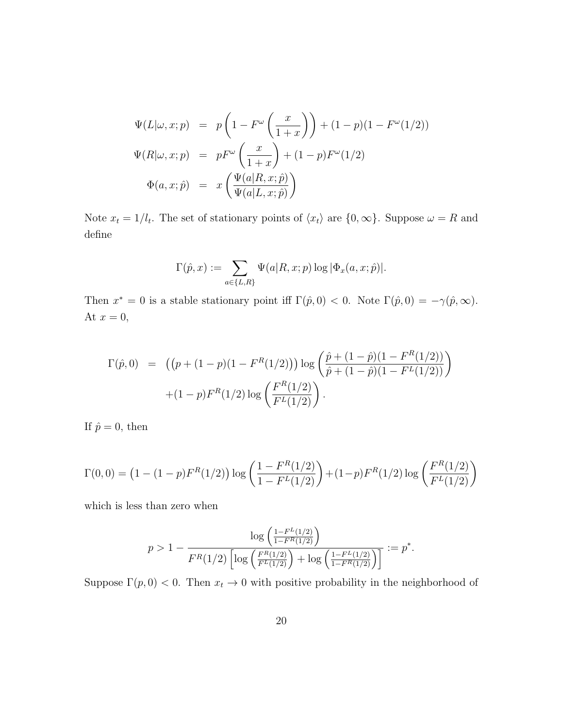$$
\Psi(L|\omega, x; p) = p\left(1 - F^{\omega}\left(\frac{x}{1+x}\right)\right) + (1-p)(1 - F^{\omega}(1/2))
$$
  

$$
\Psi(R|\omega, x; p) = pF^{\omega}\left(\frac{x}{1+x}\right) + (1-p)F^{\omega}(1/2)
$$
  

$$
\Phi(a, x; \hat{p}) = x\left(\frac{\Psi(a|R, x; \hat{p})}{\Psi(a|L, x; \hat{p})}\right)
$$

Note  $x_t = 1/l_t$ . The set of stationary points of  $\langle x_t \rangle$  are  $\{0, \infty\}$ . Suppose  $\omega = R$  and define

$$
\Gamma(\hat{p},x) := \sum_{a \in \{L,R\}} \Psi(a|R,x;p) \log |\Phi_x(a,x;\hat{p})|.
$$

Then  $x^* = 0$  is a stable stationary point iff  $\Gamma(\hat{p}, 0) < 0$ . Note  $\Gamma(\hat{p}, 0) = -\gamma(\hat{p}, \infty)$ . At  $x = 0$ ,

$$
\Gamma(\hat{p},0) = ((p + (1-p)(1 - F^R(1/2))) \log \left( \frac{\hat{p} + (1-\hat{p})(1 - F^R(1/2))}{\hat{p} + (1-\hat{p})(1 - F^L(1/2))} \right) + (1-p)F^R(1/2) \log \left( \frac{F^R(1/2)}{F^L(1/2)} \right).
$$

If  $\hat{p} = 0$ , then

$$
\Gamma(0,0) = \left(1 - (1-p)F^{R}(1/2)\right) \log \left(\frac{1 - F^{R}(1/2)}{1 - F^{L}(1/2)}\right) + (1-p)F^{R}(1/2)\log \left(\frac{F^{R}(1/2)}{F^{L}(1/2)}\right)
$$

which is less than zero when

$$
p > 1 - \frac{\log\left(\frac{1 - F^L(1/2)}{1 - F^R(1/2)}\right)}{F^R(1/2)\left[\log\left(\frac{F^R(1/2)}{F^L(1/2)}\right) + \log\left(\frac{1 - F^L(1/2)}{1 - F^R(1/2)}\right)\right]} := p^*.
$$

Suppose  $\Gamma(p, 0) < 0$ . Then  $x_t \to 0$  with positive probability in the neighborhood of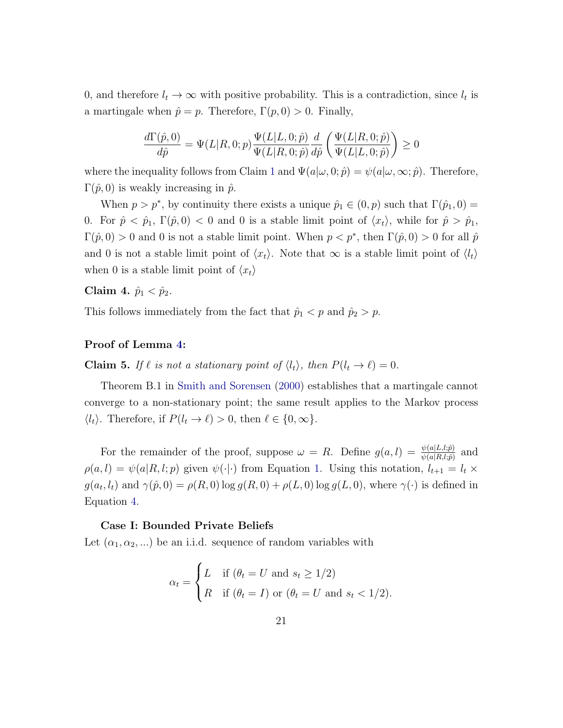0, and therefore  $l_t \to \infty$  with positive probability. This is a contradiction, since  $l_t$  is a martingale when  $\hat{p} = p$ . Therefore,  $\Gamma(p, 0) > 0$ . Finally,

$$
\frac{d\Gamma(\hat{p},0)}{d\hat{p}} = \Psi(L|R,0;p)\frac{\Psi(L|L,0;\hat{p})}{\Psi(L|R,0;\hat{p})}\frac{d}{d\hat{p}}\left(\frac{\Psi(L|R,0;\hat{p})}{\Psi(L|L,0;\hat{p})}\right) \ge 0
$$

where the inequality follows from Claim [1](#page-18-1) and  $\Psi(a|\omega, 0; \hat{p}) = \psi(a|\omega, \infty; \hat{p})$ . Therefore,  $\Gamma(\hat{p}, 0)$  is weakly increasing in  $\hat{p}$ .

When  $p > p^*$ , by continuity there exists a unique  $\hat{p}_1 \in (0, p)$  such that  $\Gamma(\hat{p}_1, 0) =$ 0. For  $\hat{p} < \hat{p}_1$ ,  $\Gamma(\hat{p}, 0) < 0$  and 0 is a stable limit point of  $\langle x_t \rangle$ , while for  $\hat{p} > \hat{p}_1$ ,  $\Gamma(\hat{p},0) > 0$  and 0 is not a stable limit point. When  $p < p^*$ , then  $\Gamma(\hat{p},0) > 0$  for all  $\hat{p}$ and 0 is not a stable limit point of  $\langle x_t \rangle$ . Note that  $\infty$  is a stable limit point of  $\langle l_t \rangle$ when 0 is a stable limit point of  $\langle x_t \rangle$ 

Claim 4.  $\hat{p}_1 < \hat{p}_2$ .

This follows immediately from the fact that  $\hat{p}_1 < p$  and  $\hat{p}_2 > p$ .

#### Proof of Lemma [4:](#page-13-0)

**Claim 5.** If  $\ell$  is not a stationary point of  $\langle l_t \rangle$ , then  $P(l_t \to \ell) = 0$ .

Theorem B.1 in [Smith and Sorensen](#page-30-0) [\(2000\)](#page-30-0) establishes that a martingale cannot converge to a non-stationary point; the same result applies to the Markov process  $\langle l_t \rangle$ . Therefore, if  $P(l_t \to \ell) > 0$ , then  $\ell \in \{0,\infty\}.$ 

For the remainder of the proof, suppose  $\omega = R$ . Define  $g(a, l) = \frac{\psi(a|L, l; \hat{p})}{\psi(a|R, l; \hat{p})}$  and  $\rho(a, l) = \psi(a|R, l; p)$  given  $\psi(\cdot|\cdot)$  from Equation [1.](#page-10-0) Using this notation,  $l_{t+1} = l_t \times$  $g(a_t, l_t)$  and  $\gamma(\hat{p}, 0) = \rho(R, 0) \log g(R, 0) + \rho(L, 0) \log g(L, 0)$ , where  $\gamma(\cdot)$  is defined in Equation [4.](#page-11-1)

#### Case I: Bounded Private Beliefs

Let  $(\alpha_1, \alpha_2, ...)$  be an i.i.d. sequence of random variables with

$$
\alpha_t = \begin{cases} L & \text{if } (\theta_t = U \text{ and } s_t \ge 1/2) \\ R & \text{if } (\theta_t = I) \text{ or } (\theta_t = U \text{ and } s_t < 1/2). \end{cases}
$$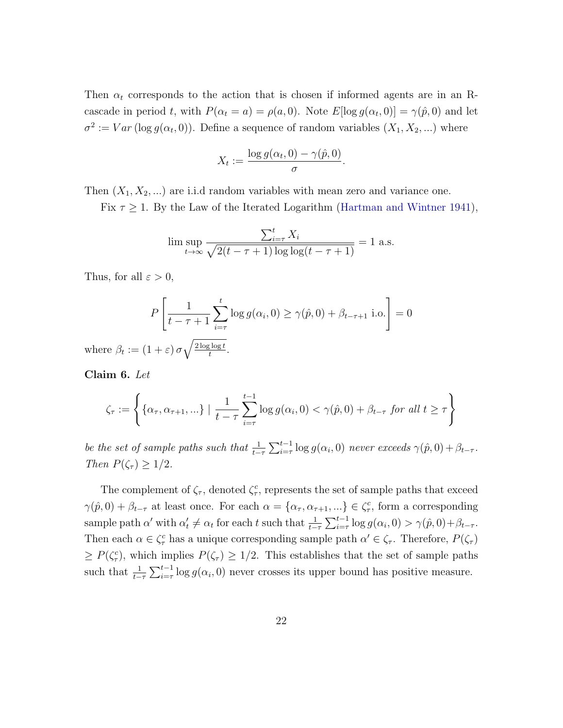Then  $\alpha_t$  corresponds to the action that is chosen if informed agents are in an Rcascade in period t, with  $P(\alpha_t = a) = \rho(a, 0)$ . Note  $E[\log g(\alpha_t, 0)] = \gamma(\hat{p}, 0)$  and let  $\sigma^2 := Var(\log g(\alpha_t, 0))$ . Define a sequence of random variables  $(X_1, X_2, ...)$  where

$$
X_t := \frac{\log g(\alpha_t, 0) - \gamma(\hat{p}, 0)}{\sigma}.
$$

Then  $(X_1, X_2, ...)$  are i.i.d random variables with mean zero and variance one.

Fix  $\tau \geq 1$ . By the Law of the Iterated Logarithm [\(Hartman and Wintner](#page-30-10) [1941\)](#page-30-10),

$$
\limsup_{t \to \infty} \frac{\sum_{i=\tau}^{t} X_i}{\sqrt{2(t-\tau+1)\log\log(t-\tau+1)}} = 1 \text{ a.s.}
$$

Thus, for all  $\varepsilon > 0$ ,

$$
P\left[\frac{1}{t-\tau+1}\sum_{i=\tau}^{t}\log g(\alpha_i,0) \ge \gamma(\hat{p},0) + \beta_{t-\tau+1} \text{ i.o.}\right] = 0
$$

where  $\beta_t := (1 + \varepsilon) \sigma \sqrt{\frac{2 \log \log t}{t}}$  $\frac{t}{t}$ .

<span id="page-23-0"></span>Claim 6. Let

$$
\zeta_{\tau} := \left\{ \{ \alpha_{\tau}, \alpha_{\tau+1}, \ldots \} \mid \frac{1}{t - \tau} \sum_{i=\tau}^{t-1} \log g(\alpha_i, 0) < \gamma(\hat{p}, 0) + \beta_{t-\tau} \text{ for all } t \geq \tau \right\}
$$

be the set of sample paths such that  $\frac{1}{t-\tau} \sum_{i=\tau}^{t-1} \log g(\alpha_i, 0)$  never exceeds  $\gamma(\hat{p}, 0) + \beta_{t-\tau}$ . Then  $P(\zeta_{\tau}) \geq 1/2$ .

The complement of  $\zeta_{\tau}$ , denoted  $\zeta_{\tau}^c$ , represents the set of sample paths that exceed  $\gamma(\hat{p},0) + \beta_{t-\tau}$  at least once. For each  $\alpha = {\alpha_{\tau}, \alpha_{\tau+1}, ...} \in \zeta_{\tau}^c$ , form a corresponding sample path  $\alpha'$  with  $\alpha'_t \neq \alpha_t$  for each t such that  $\frac{1}{t-\tau} \sum_{i=\tau}^{t-1} \log g(\alpha_i, 0) > \gamma(\hat{p}, 0) + \beta_{t-\tau}$ . Then each  $\alpha \in \zeta_{\tau}^c$  has a unique corresponding sample path  $\alpha' \in \zeta_{\tau}$ . Therefore,  $P(\zeta_{\tau})$  $\geq P(\zeta_\tau^c)$ , which implies  $P(\zeta_\tau) \geq 1/2$ . This establishes that the set of sample paths such that  $\frac{1}{t-\tau}\sum_{i=\tau}^{t-1} \log g(\alpha_i, 0)$  never crosses its upper bound has positive measure.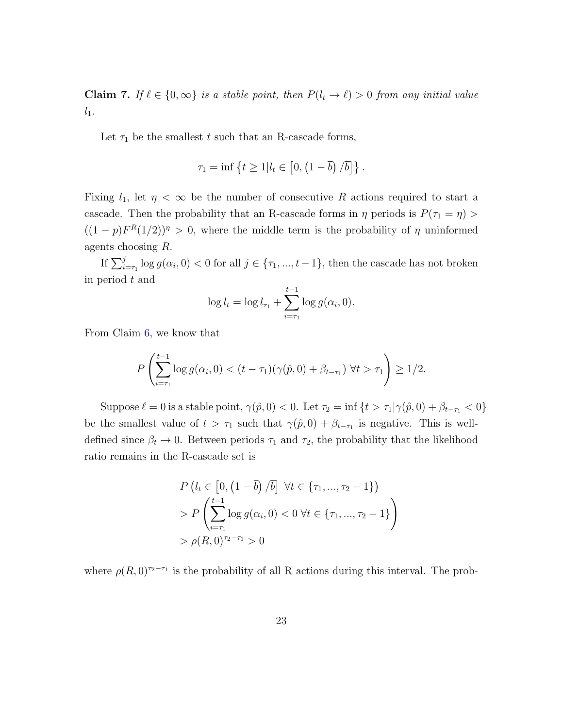<span id="page-24-0"></span>**Claim 7.** If  $\ell \in \{0, \infty\}$  is a stable point, then  $P(l_t \to \ell) > 0$  from any initial value  $l_1$ .

Let  $\tau_1$  be the smallest t such that an R-cascade forms,

$$
\tau_1 = \inf \left\{ t \geq 1 | l_t \in \left[0, \left(1 - \overline{b}\right) / \overline{b} \right] \right\}.
$$

Fixing  $l_1$ , let  $\eta < \infty$  be the number of consecutive R actions required to start a cascade. Then the probability that an R-cascade forms in  $\eta$  periods is  $P(\tau_1 = \eta)$  $((1-p)F^{R}(1/2))$ <sup>n</sup> > 0, where the middle term is the probability of  $\eta$  uninformed agents choosing R.

If  $\sum_{i=\tau_1}^j \log g(\alpha_i, 0) < 0$  for all  $j \in \{\tau_1, ..., t-1\}$ , then the cascade has not broken in period t and

$$
\log l_t = \log l_{\tau_1} + \sum_{i=\tau_1}^{t-1} \log g(\alpha_i, 0).
$$

From Claim [6,](#page-23-0) we know that

$$
P\left(\sum_{i=\tau_1}^{t-1} \log g(\alpha_i, 0) < (t-\tau_1)(\gamma(\hat{p}, 0) + \beta_{t-\tau_1}) \,\,\forall t > \tau_1\right) \geq 1/2.
$$

Suppose  $\ell = 0$  is a stable point,  $\gamma(\hat{p}, 0) < 0$ . Let  $\tau_2 = \inf \{ t > \tau_1 | \gamma(\hat{p}, 0) + \beta_{t-\tau_1} < 0 \}$ be the smallest value of  $t > \tau_1$  such that  $\gamma(\hat{p}, 0) + \beta_{t-\tau_1}$  is negative. This is welldefined since  $\beta_t \to 0$ . Between periods  $\tau_1$  and  $\tau_2$ , the probability that the likelihood ratio remains in the R-cascade set is

$$
P(l_t \in [0, (1 - \overline{b})/\overline{b}] \ \forall t \in \{\tau_1, ..., \tau_2 - 1\})
$$
  
> 
$$
P\left(\sum_{i=\tau_1}^{t-1} \log g(\alpha_i, 0) < 0 \ \forall t \in \{\tau_1, ..., \tau_2 - 1\}\right)
$$
  
> 
$$
\rho(R, 0)^{\tau_2 - \tau_1} > 0
$$

where  $\rho(R,0)^{\tau_2-\tau_1}$  is the probability of all R actions during this interval. The prob-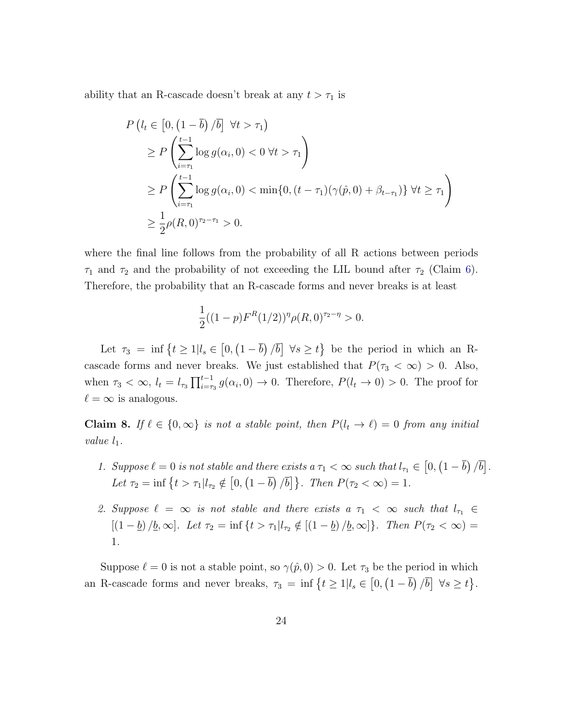ability that an R-cascade doesn't break at any  $t > \tau_1$  is

$$
P\left(l_{t} \in \left[0, \left(1-\overline{b}\right)/\overline{b}\right] \forall t > \tau_{1}\right)
$$
  
\n
$$
\geq P\left(\sum_{i=\tau_{1}}^{t-1} \log g(\alpha_{i}, 0) < 0 \forall t > \tau_{1}\right)
$$
  
\n
$$
\geq P\left(\sum_{i=\tau_{1}}^{t-1} \log g(\alpha_{i}, 0) < \min\{0, (t-\tau_{1})(\gamma(\hat{p}, 0) + \beta_{t-\tau_{1}})\} \forall t \geq \tau_{1}\right)
$$
  
\n
$$
\geq \frac{1}{2}\rho(R, 0)^{\tau_{2}-\tau_{1}} > 0.
$$

where the final line follows from the probability of all R actions between periods  $\tau_1$  and  $\tau_2$  and the probability of not exceeding the LIL bound after  $\tau_2$  (Claim [6\)](#page-23-0). Therefore, the probability that an R-cascade forms and never breaks is at least

$$
\frac{1}{2}((1-p)F^{R}(1/2))^{n}\rho(R,0)^{\tau_2-\eta} > 0.
$$

Let  $\tau_3 = \inf \{ t \geq 1 | l_s \in [0, (1 - \overline{b})/\overline{b}] \ \forall s \geq t \}$  be the period in which an Rcascade forms and never breaks. We just established that  $P(\tau_3 < \infty) > 0$ . Also, when  $\tau_3 < \infty$ ,  $l_t = l_{\tau_3} \prod_{i=\tau_3}^{t-1} g(\alpha_i, 0) \to 0$ . Therefore,  $P(l_t \to 0) > 0$ . The proof for  $\ell = \infty$  is analogous.

<span id="page-25-0"></span>Claim 8. If  $\ell \in \{0, \infty\}$  is not a stable point, then  $P(l_t \to \ell) = 0$  from any initial value  $l_1$ .

- 1. Suppose  $\ell = 0$  is not stable and there exists a  $\tau_1 < \infty$  such that  $l_{\tau_1} \in (0, (1 \overline{b})/\overline{b}]$ . Let  $\tau_2 = \inf \{ t > \tau_1 | l_{\tau_2} \notin [0, (1 - \overline{b}) / \overline{b}] \}.$  Then  $P(\tau_2 < \infty) = 1$ .
- 2. Suppose  $\ell = \infty$  is not stable and there exists a  $\tau_1 < \infty$  such that  $l_{\tau_1} \in$  $[(1 - \underline{b}) / \underline{b}, \infty]$ . Let  $\tau_2 = \inf \{ t > \tau_1 | l_{\tau_2} \notin [(1 - \underline{b}) / \underline{b}, \infty] \}$ . Then  $P(\tau_2 < \infty) =$ 1.

Suppose  $\ell = 0$  is not a stable point, so  $\gamma(\hat{p}, 0) > 0$ . Let  $\tau_3$  be the period in which an R-cascade forms and never breaks,  $\tau_3 = \inf \{ t \geq 1 | l_s \in [0, (1 - \overline{b}) / \overline{b} ] \ \forall s \geq t \}.$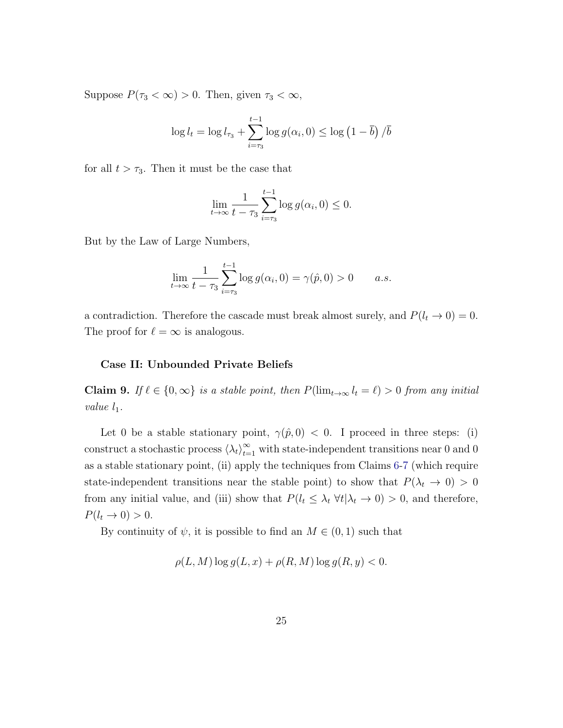Suppose  $P(\tau_3 < \infty) > 0$ . Then, given  $\tau_3 < \infty$ ,

$$
\log l_t = \log l_{\tau_3} + \sum_{i=\tau_3}^{t-1} \log g(\alpha_i, 0) \le \log \left(1 - \overline{b}\right) / \overline{b}
$$

for all  $t > \tau_3$ . Then it must be the case that

$$
\lim_{t \to \infty} \frac{1}{t - \tau_3} \sum_{i = \tau_3}^{t-1} \log g(\alpha_i, 0) \le 0.
$$

But by the Law of Large Numbers,

$$
\lim_{t \to \infty} \frac{1}{t - \tau_3} \sum_{i = \tau_3}^{t - 1} \log g(\alpha_i, 0) = \gamma(\hat{p}, 0) > 0 \quad a.s.
$$

a contradiction. Therefore the cascade must break almost surely, and  $P(l_t \rightarrow 0) = 0$ . The proof for  $\ell = \infty$  is analogous.

#### Case II: Unbounded Private Beliefs

Claim 9. If  $\ell \in \{0, \infty\}$  is a stable point, then  $P(\lim_{t\to\infty} l_t = \ell) > 0$  from any initial value  $l_1$ .

Let 0 be a stable stationary point,  $\gamma(\hat{p}, 0) < 0$ . I proceed in three steps: (i) construct a stochastic process  $\langle \lambda_t \rangle_{t=1}^{\infty}$  with state-independent transitions near 0 and 0 as a stable stationary point, (ii) apply the techniques from Claims [6](#page-23-0)[-7](#page-24-0) (which require state-independent transitions near the stable point) to show that  $P(\lambda_t \to 0) > 0$ from any initial value, and (iii) show that  $P(l_t \leq \lambda_t \ \forall t | \lambda_t \to 0) > 0$ , and therefore,  $P(l_t \rightarrow 0) > 0.$ 

By continuity of  $\psi$ , it is possible to find an  $M \in (0,1)$  such that

$$
\rho(L, M) \log g(L, x) + \rho(R, M) \log g(R, y) < 0.
$$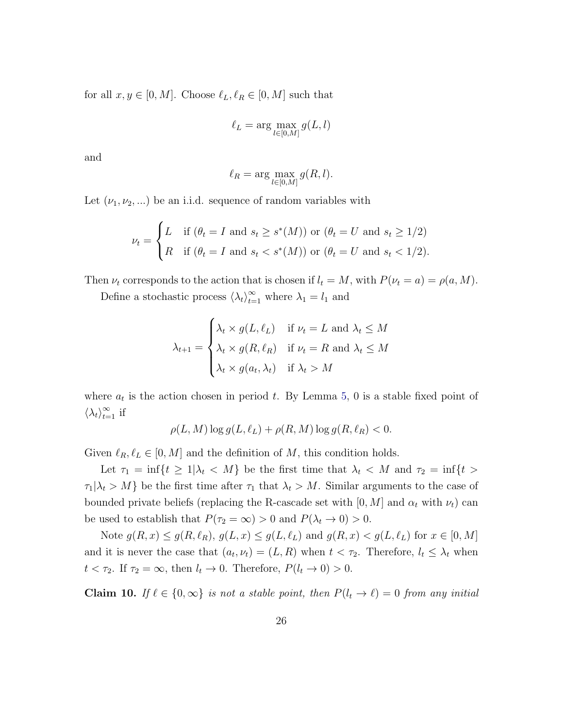for all  $x, y \in [0, M]$ . Choose  $\ell_L, \ell_R \in [0, M]$  such that

$$
\ell_L = \arg\max_{l \in [0,M]} g(L,l)
$$

and

$$
\ell_R = \arg \max_{l \in [0,M]} g(R,l).
$$

Let  $(\nu_1, \nu_2, ...)$  be an i.i.d. sequence of random variables with

$$
\nu_t = \begin{cases} L & \text{if } (\theta_t = I \text{ and } s_t \ge s^*(M)) \text{ or } (\theta_t = U \text{ and } s_t \ge 1/2) \\ R & \text{if } (\theta_t = I \text{ and } s_t < s^*(M)) \text{ or } (\theta_t = U \text{ and } s_t < 1/2). \end{cases}
$$

Then  $\nu_t$  corresponds to the action that is chosen if  $l_t = M$ , with  $P(\nu_t = a) = \rho(a, M)$ .

Define a stochastic process  $\langle \lambda_t \rangle_{t=1}^{\infty}$  where  $\lambda_1 = l_1$  and

$$
\lambda_{t+1} = \begin{cases} \lambda_t \times g(L, \ell_L) & \text{if } \nu_t = L \text{ and } \lambda_t \le M \\ \lambda_t \times g(R, \ell_R) & \text{if } \nu_t = R \text{ and } \lambda_t \le M \\ \lambda_t \times g(a_t, \lambda_t) & \text{if } \lambda_t > M \end{cases}
$$

where  $a_t$  is the action chosen in period t. By Lemma [5,](#page-18-0) 0 is a stable fixed point of  $\langle \lambda_t \rangle_{t=1}^{\infty}$  if

$$
\rho(L, M) \log g(L, \ell_L) + \rho(R, M) \log g(R, \ell_R) < 0.
$$

Given  $\ell_R, \ell_L \in [0, M]$  and the definition of M, this condition holds.

Let  $\tau_1 = \inf\{t \geq 1 | \lambda_t < M\}$  be the first time that  $\lambda_t < M$  and  $\tau_2 = \inf\{t >$  $\tau_1|\lambda_t > M$  be the first time after  $\tau_1$  that  $\lambda_t > M$ . Similar arguments to the case of bounded private beliefs (replacing the R-cascade set with  $[0, M]$  and  $\alpha_t$  with  $\nu_t$ ) can be used to establish that  $P(\tau_2 = \infty) > 0$  and  $P(\lambda_t \to 0) > 0$ .

Note  $g(R, x) \le g(R, \ell_R), g(L, x) \le g(L, \ell_L)$  and  $g(R, x) < g(L, \ell_L)$  for  $x \in [0, M]$ and it is never the case that  $(a_t, \nu_t) = (L, R)$  when  $t < \tau_2$ . Therefore,  $l_t \leq \lambda_t$  when  $t < \tau_2$ . If  $\tau_2 = \infty$ , then  $l_t \to 0$ . Therefore,  $P(l_t \to 0) > 0$ .

Claim 10. If  $\ell \in \{0, \infty\}$  is not a stable point, then  $P(l_t \to \ell) = 0$  from any initial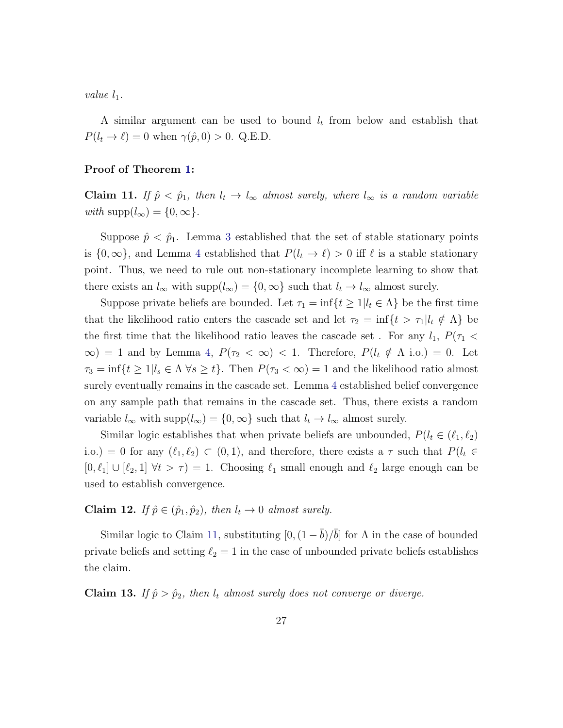value  $l_1$ .

A similar argument can be used to bound  $l_t$  from below and establish that  $P(l_t \to \ell) = 0$  when  $\gamma(\hat{p}, 0) > 0$ . Q.E.D.

#### Proof of Theorem [1:](#page-14-0)

<span id="page-28-0"></span>Claim 11. If  $\hat{p} < \hat{p}_1$ , then  $l_t \to l_\infty$  almost surely, where  $l_\infty$  is a random variable with supp $(l_{\infty}) = \{0, \infty\}.$ 

Suppose  $\hat{p} < \hat{p}_1$ . Lemma [3](#page-12-1) established that the set of stable stationary points is  $\{0, \infty\}$ , and Lemma [4](#page-13-0) established that  $P(l_t \to \ell) > 0$  iff  $\ell$  is a stable stationary point. Thus, we need to rule out non-stationary incomplete learning to show that there exists an  $l_{\infty}$  with supp $(l_{\infty}) = \{0, \infty\}$  such that  $l_t \to l_{\infty}$  almost surely.

Suppose private beliefs are bounded. Let  $\tau_1 = \inf\{t \geq 1 | l_t \in \Lambda\}$  be the first time that the likelihood ratio enters the cascade set and let  $\tau_2 = \inf\{t > \tau_1 | l_t \notin \Lambda\}$  be the first time that the likelihood ratio leaves the cascade set . For any  $l_1$ ,  $P(\tau_1$  <  $\infty$ ) = 1 and by Lemma [4,](#page-13-0)  $P(\tau_2 < \infty) < 1$ . Therefore,  $P(l_t \notin \Lambda \text{ i.o.}) = 0$ . Let  $\tau_3 = \inf\{t \geq 1 | l_s \in \Lambda \ \forall s \geq t\}.$  Then  $P(\tau_3 < \infty) = 1$  and the likelihood ratio almost surely eventually remains in the cascade set. Lemma [4](#page-13-0) established belief convergence on any sample path that remains in the cascade set. Thus, there exists a random variable  $l_{\infty}$  with supp $(l_{\infty}) = \{0, \infty\}$  such that  $l_t \to l_{\infty}$  almost surely.

Similar logic establishes that when private beliefs are unbounded,  $P(l_t \in (\ell_1, \ell_2))$ i.o.) = 0 for any  $(\ell_1, \ell_2) \subset (0, 1)$ , and therefore, there exists a  $\tau$  such that  $P(l_t \in$  $[0, \ell_1] \cup [\ell_2, 1] \forall t > \tau$  = 1. Choosing  $\ell_1$  small enough and  $\ell_2$  large enough can be used to establish convergence.

Claim 12. If  $\hat{p} \in (\hat{p}_1, \hat{p}_2)$ , then  $l_t \to 0$  almost surely.

Similar logic to Claim [11,](#page-28-0) substituting  $[0, (1 - \bar{b})/\bar{b}]$  for  $\Lambda$  in the case of bounded private beliefs and setting  $\ell_2 = 1$  in the case of unbounded private beliefs establishes the claim.

<span id="page-28-1"></span>Claim 13. If  $\hat{p} > \hat{p}_2$ , then  $l_t$  almost surely does not converge or diverge.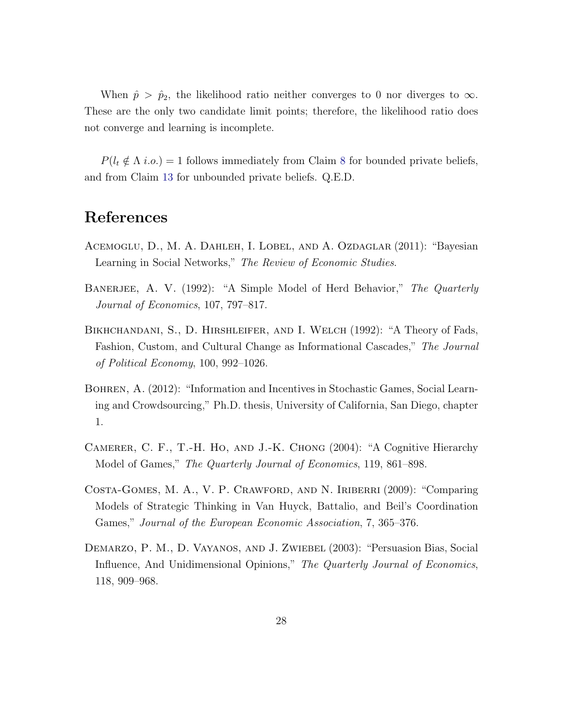When  $\hat{p} > \hat{p}_2$ , the likelihood ratio neither converges to 0 nor diverges to  $\infty$ . These are the only two candidate limit points; therefore, the likelihood ratio does not converge and learning is incomplete.

 $P(l_t \notin \Lambda \text{ i.o.}) = 1$  follows immediately from Claim [8](#page-25-0) for bounded private beliefs, and from Claim [13](#page-28-1) for unbounded private beliefs. Q.E.D.

## References

- <span id="page-29-2"></span>ACEMOGLU, D., M. A. DAHLEH, I. LOBEL, AND A. OZDAGLAR (2011): "Bayesian Learning in Social Networks," The Review of Economic Studies.
- <span id="page-29-0"></span>BANERJEE, A. V. (1992): "A Simple Model of Herd Behavior," The Quarterly Journal of Economics, 107, 797–817.
- <span id="page-29-1"></span>Bikhchandani, S., D. Hirshleifer, and I. Welch (1992): "A Theory of Fads, Fashion, Custom, and Cultural Change as Informational Cascades," The Journal of Political Economy, 100, 992–1026.
- <span id="page-29-6"></span>Bohren, A. (2012): "Information and Incentives in Stochastic Games, Social Learning and Crowdsourcing," Ph.D. thesis, University of California, San Diego, chapter 1.
- <span id="page-29-4"></span>Camerer, C. F., T.-H. Ho, and J.-K. Chong (2004): "A Cognitive Hierarchy Model of Games," The Quarterly Journal of Economics, 119, 861–898.
- <span id="page-29-5"></span>Costa-Gomes, M. A., V. P. Crawford, and N. Iriberri (2009): "Comparing Models of Strategic Thinking in Van Huyck, Battalio, and Beil's Coordination Games," Journal of the European Economic Association, 7, 365–376.
- <span id="page-29-3"></span>Demarzo, P. M., D. Vayanos, and J. Zwiebel (2003): "Persuasion Bias, Social Influence, And Unidimensional Opinions," The Quarterly Journal of Economics, 118, 909–968.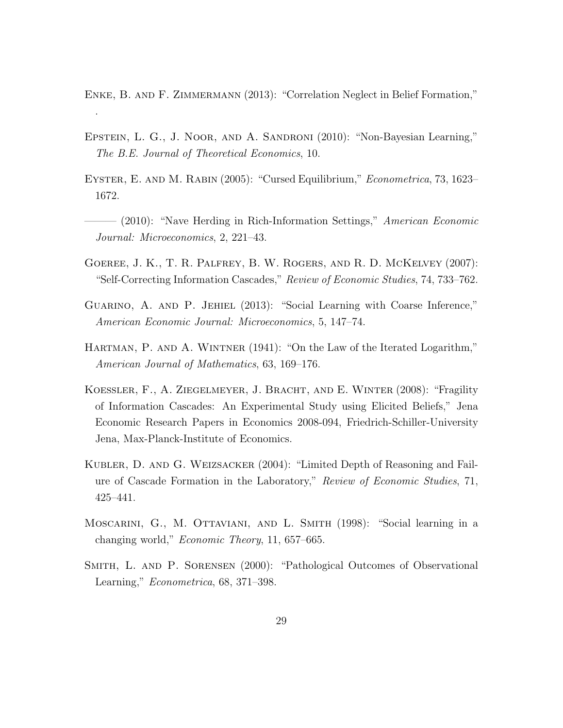<span id="page-30-6"></span>ENKE, B. AND F. ZIMMERMANN (2013): "Correlation Neglect in Belief Formation,"

.

- <span id="page-30-5"></span>Epstein, L. G., J. Noor, and A. Sandroni (2010): "Non-Bayesian Learning," The B.E. Journal of Theoretical Economics, 10.
- <span id="page-30-4"></span>Eyster, E. and M. Rabin (2005): "Cursed Equilibrium," Econometrica, 73, 1623– 1672.
- <span id="page-30-2"></span> $-$  (2010): "Nave Herding in Rich-Information Settings," American Economic Journal: Microeconomics, 2, 221–43.
- <span id="page-30-7"></span>Goeree, J. K., T. R. Palfrey, B. W. Rogers, and R. D. McKelvey (2007): "Self-Correcting Information Cascades," Review of Economic Studies, 74, 733–762.
- <span id="page-30-3"></span>Guarino, A. and P. Jehiel (2013): "Social Learning with Coarse Inference," American Economic Journal: Microeconomics, 5, 147–74.
- <span id="page-30-10"></span>HARTMAN, P. AND A. WINTNER (1941): "On the Law of the Iterated Logarithm," American Journal of Mathematics, 63, 169–176.
- <span id="page-30-8"></span>Koessler, F., A. Ziegelmeyer, J. Bracht, and E. Winter (2008): "Fragility of Information Cascades: An Experimental Study using Elicited Beliefs," Jena Economic Research Papers in Economics 2008-094, Friedrich-Schiller-University Jena, Max-Planck-Institute of Economics.
- <span id="page-30-9"></span>Kubler, D. and G. Weizsacker (2004): "Limited Depth of Reasoning and Failure of Cascade Formation in the Laboratory," Review of Economic Studies, 71, 425–441.
- <span id="page-30-1"></span>Moscarini, G., M. Ottaviani, and L. Smith (1998): "Social learning in a changing world," Economic Theory, 11, 657–665.
- <span id="page-30-0"></span>Smith, L. and P. Sorensen (2000): "Pathological Outcomes of Observational Learning," Econometrica, 68, 371–398.